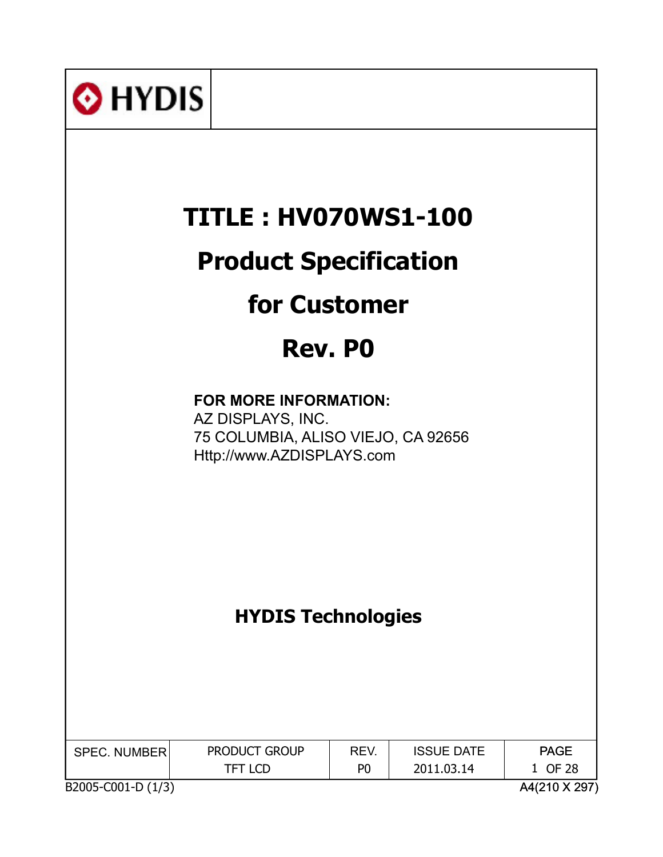| <b>O</b> HYDIS                                                                                                |                                 |                        |                                 |                                         |  |
|---------------------------------------------------------------------------------------------------------------|---------------------------------|------------------------|---------------------------------|-----------------------------------------|--|
|                                                                                                               | <b>TITLE: HV070WS1-100</b>      |                        |                                 |                                         |  |
|                                                                                                               | <b>Product Specification</b>    |                        |                                 |                                         |  |
|                                                                                                               | <b>for Customer</b>             |                        |                                 |                                         |  |
|                                                                                                               | Rev. PO                         |                        |                                 |                                         |  |
| FOR MORE INFORMATION:<br>AZ DISPLAYS, INC.<br>75 COLUMBIA, ALISO VIEJO, CA 92656<br>Http://www.AZDISPLAYS.com |                                 |                        |                                 |                                         |  |
|                                                                                                               | <b>HYDIS Technologies</b>       |                        |                                 |                                         |  |
| <b>SPEC. NUMBER</b><br>B2005-C001-D (1/3)                                                                     | PRODUCT GROUP<br><b>TFT LCD</b> | REV.<br>P <sub>0</sub> | <b>ISSUE DATE</b><br>2011.03.14 | <b>PAGE</b><br>1 OF 28<br>A4(210 X 297) |  |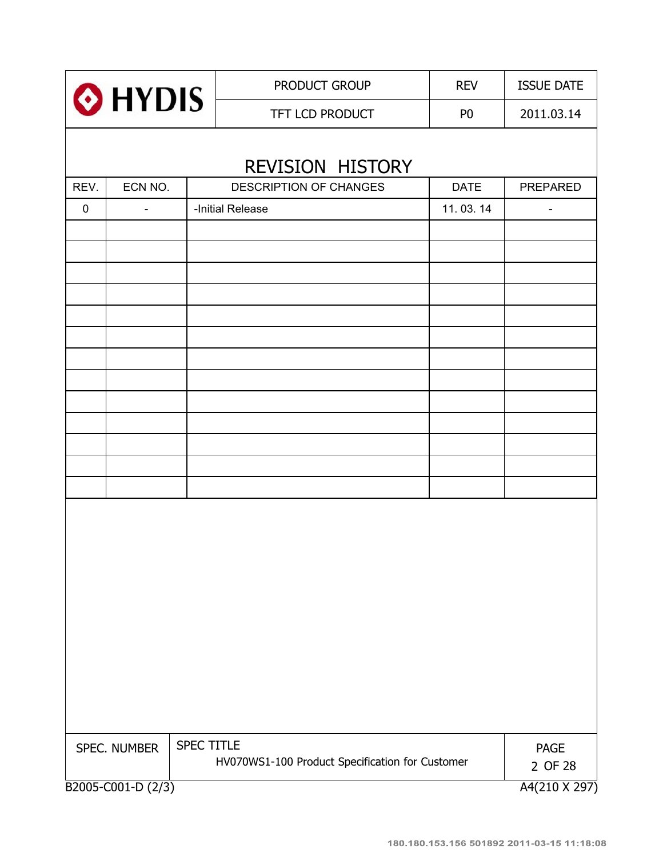| O HYDIS     |                                     |                   | PRODUCT GROUP                                   | <b>REV</b>     | <b>ISSUE DATE</b>        |  |  |
|-------------|-------------------------------------|-------------------|-------------------------------------------------|----------------|--------------------------|--|--|
|             |                                     |                   | TFT LCD PRODUCT                                 | P <sub>0</sub> | 2011.03.14               |  |  |
|             | <b>REVISION HISTORY</b>             |                   |                                                 |                |                          |  |  |
| REV.        | ECN NO.                             |                   | <b>DESCRIPTION OF CHANGES</b>                   | <b>DATE</b>    | <b>PREPARED</b>          |  |  |
| $\mathbf 0$ | $\blacksquare$                      |                   | -Initial Release                                | 11.03.14       | $\overline{\phantom{a}}$ |  |  |
|             |                                     |                   |                                                 |                |                          |  |  |
|             |                                     |                   |                                                 |                |                          |  |  |
|             |                                     |                   |                                                 |                |                          |  |  |
|             |                                     |                   |                                                 |                |                          |  |  |
|             |                                     |                   |                                                 |                |                          |  |  |
|             |                                     |                   |                                                 |                |                          |  |  |
|             |                                     |                   |                                                 |                |                          |  |  |
|             |                                     |                   |                                                 |                |                          |  |  |
|             |                                     |                   |                                                 |                |                          |  |  |
|             |                                     |                   |                                                 |                |                          |  |  |
|             |                                     |                   |                                                 |                |                          |  |  |
|             |                                     |                   |                                                 |                |                          |  |  |
|             |                                     |                   |                                                 |                |                          |  |  |
|             | SPEC. NUMBER                        | <b>SPEC TITLE</b> | HV070WS1-100 Product Specification for Customer |                | <b>PAGE</b><br>2 OF 28   |  |  |
|             | B2005-C001-D (2/3)<br>A4(210 X 297) |                   |                                                 |                |                          |  |  |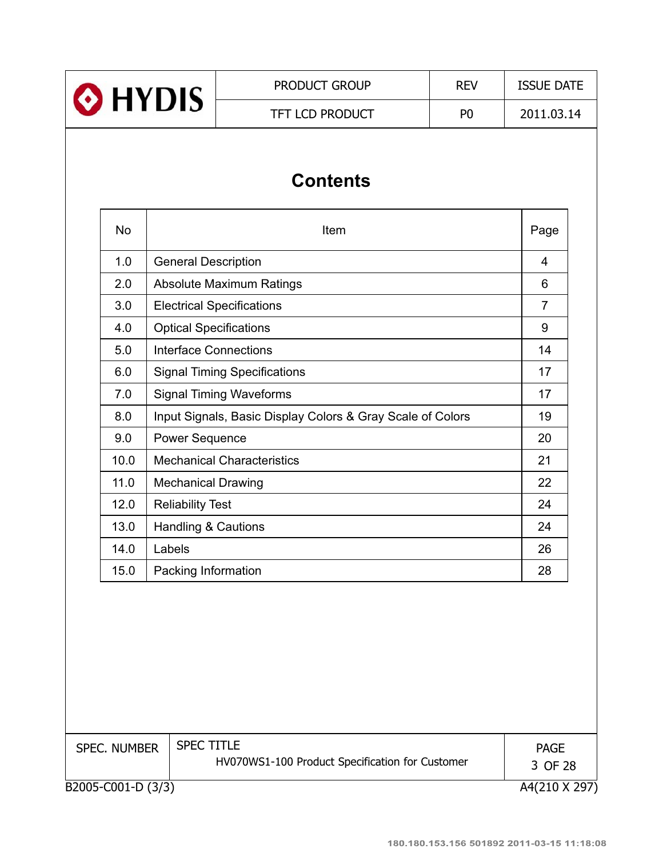|                | <b>PRODUCT GROUP</b>   | <b>REV</b> | <b>ISSUE DATE</b> |  |
|----------------|------------------------|------------|-------------------|--|
| <b>O</b> HYDIS | <b>TFT LCD PRODUCT</b> | P0         | 2011.03.14        |  |
|                |                        |            |                   |  |

# **Contents**

| <b>No</b> | Item                                                       | Page           |
|-----------|------------------------------------------------------------|----------------|
| 1.0       | <b>General Description</b>                                 | 4              |
| 2.0       | Absolute Maximum Ratings                                   | 6              |
| 3.0       | <b>Electrical Specifications</b>                           | $\overline{7}$ |
| 4.0       | <b>Optical Specifications</b>                              | 9              |
| 5.0       | <b>Interface Connections</b>                               | 14             |
| 6.0       | <b>Signal Timing Specifications</b>                        | 17             |
| 7.0       | <b>Signal Timing Waveforms</b>                             | 17             |
| 8.0       | Input Signals, Basic Display Colors & Gray Scale of Colors | 19             |
| 9.0       | <b>Power Sequence</b>                                      | 20             |
| 10.0      | <b>Mechanical Characteristics</b>                          | 21             |
| 11.0      | <b>Mechanical Drawing</b>                                  | 22             |
| 12.0      | <b>Reliability Test</b>                                    | 24             |
| 13.0      | <b>Handling &amp; Cautions</b>                             | 24             |
| 14.0      | Labels                                                     | 26             |
| 15.0      | Packing Information                                        | 28             |

| <b>SPEC. NUMBER</b> | <b>SPEC TITLE</b><br>HV070WS1-100 Product Specification for Customer | PAGE<br>3 OF 28 |
|---------------------|----------------------------------------------------------------------|-----------------|
| B2005-C001-D (3/3)  |                                                                      | A4(210 X 297)   |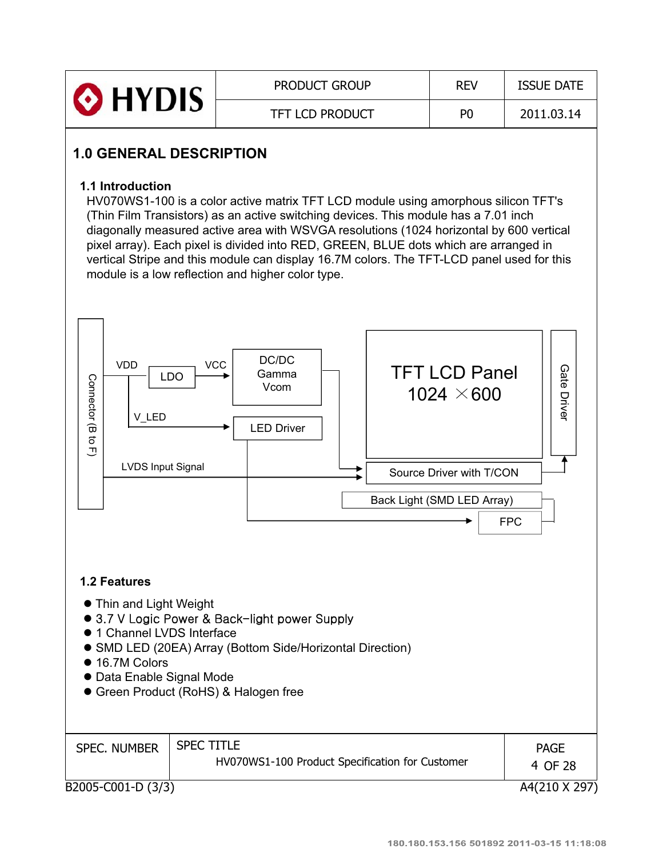| HYDIS <sup>®</sup> | <b>PRODUCT GROUP</b>   | <b>REV</b> | <b>ISSUE DATE</b> |
|--------------------|------------------------|------------|-------------------|
|                    | <b>TFT LCD PRODUCT</b> | РC         | 2011.03.14        |

# **1.0 GENERAL DESCRIPTION**

### **1.1 Introduction**

HV070WS1-100 is a color active matrix TFT LCD module using amorphous silicon TFT's (Thin Film Transistors) as an active switching devices. This module has a 7.01 inch diagonally measured active area with WSVGA resolutions (1024 horizontal by 600 vertical pixel array). Each pixel is divided into RED, GREEN, BLUE dots which are arranged in vertical Stripe and this module can display 16.7M colors. The TFT-LCD panel used for this module is a low reflection and higher color type.

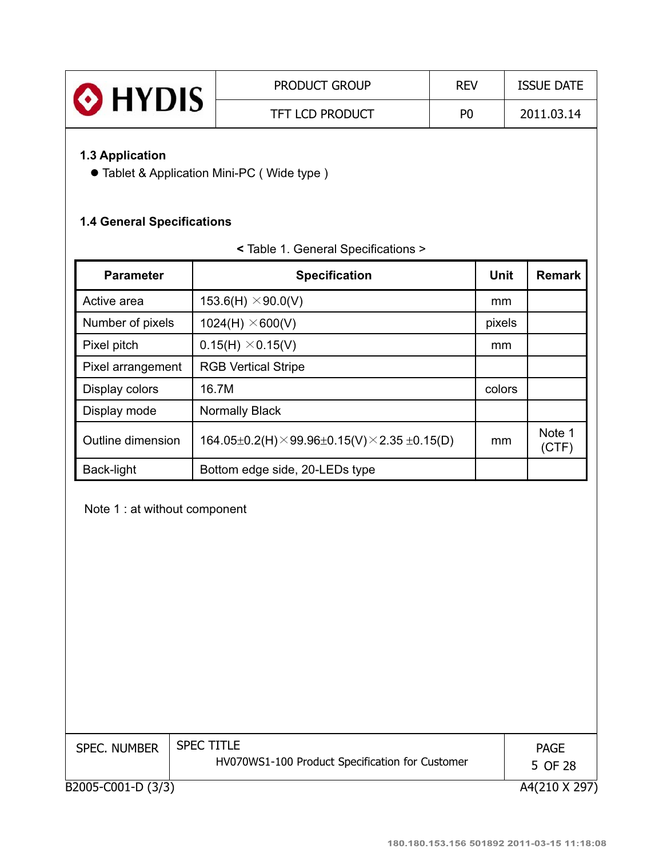| <b>O</b> HYDIS | <b>PRODUCT GROUP</b>   | <b>REV</b>     | <b>ISSUE DATE</b> |
|----------------|------------------------|----------------|-------------------|
|                | <b>TFT LCD PRODUCT</b> | P <sub>0</sub> | 2011.03.14        |

### **1.3 Application**

**• Tablet & Application Mini-PC ( Wide type )** 

### **1.4 General Specifications**

| <b>Parameter</b>  | <b>Specification</b>                                        | Unit   | <b>Remark</b>   |
|-------------------|-------------------------------------------------------------|--------|-----------------|
| Active area       | 153.6(H) $\times$ 90.0(V)                                   | mm     |                 |
| Number of pixels  | 1024(H) $\times$ 600(V)                                     | pixels |                 |
| Pixel pitch       | $0.15(H) \times 0.15(V)$                                    | mm     |                 |
| Pixel arrangement | <b>RGB Vertical Stripe</b>                                  |        |                 |
| Display colors    | 16.7M                                                       | colors |                 |
| Display mode      | <b>Normally Black</b>                                       |        |                 |
| Outline dimension | 164.05±0.2(H) $\times$ 99.96±0.15(V) $\times$ 2.35 ±0.15(D) | mm     | Note 1<br>(CTF) |
| Back-light        | Bottom edge side, 20-LEDs type                              |        |                 |

### **<** Table 1. General Specifications >

Note 1 : at without component

| <b>SPEC. NUMBER</b> | <b>SPEC TITLE</b><br>HV070WS1-100 Product Specification for Customer | <b>PAGE</b><br>5 OF 28 |
|---------------------|----------------------------------------------------------------------|------------------------|
| B2005-C001-D (3/3)  |                                                                      | A4(210 X 297)          |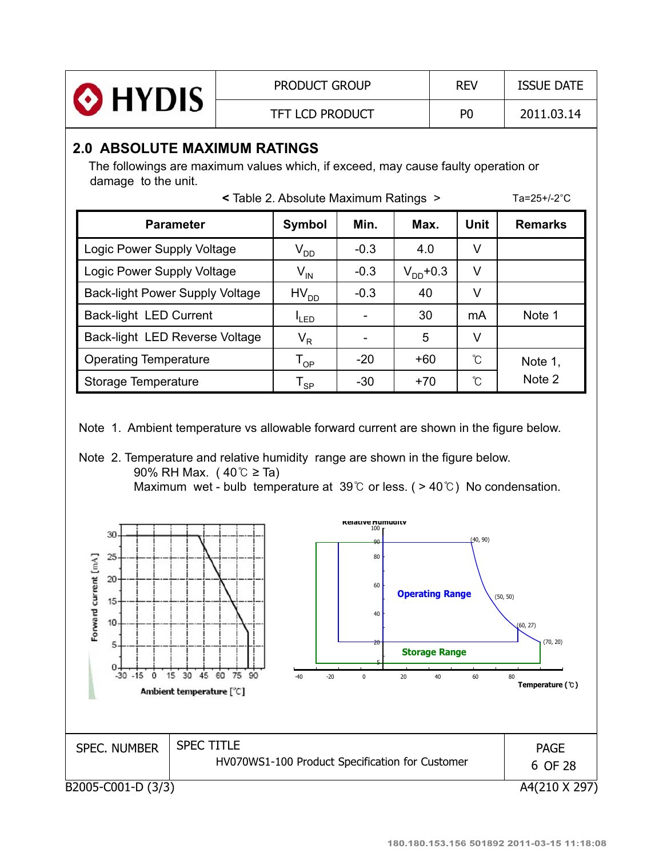| <b>O</b> HYDIS<br><b>TFT LCD PRODUCT</b><br>P <sub>0</sub> | 2011.03.14 |
|------------------------------------------------------------|------------|

### **2.0 ABSOLUTE MAXIMUM RATINGS**

The followings are maximum values which, if exceed, may cause faulty operation or damage to the unit.

| < Table 2. Absolute Maximum Ratings > |  |  |  |
|---------------------------------------|--|--|--|
|---------------------------------------|--|--|--|

Ta= $25+/2^{\circ}C$ 

| <b>Parameter</b>                       | Symbol                     | Min.   | Max.          | Unit | <b>Remarks</b> |
|----------------------------------------|----------------------------|--------|---------------|------|----------------|
| Logic Power Supply Voltage             | $\rm V_{DD}$               | $-0.3$ | 4.0           | ٧    |                |
| Logic Power Supply Voltage             | $V_{IN}$                   | $-0.3$ | $V_{DD}$ +0.3 | V    |                |
| <b>Back-light Power Supply Voltage</b> | $HV_{DD}$                  | $-0.3$ | 40            | ٧    |                |
| <b>Back-light LED Current</b>          | <sup>I</sup> LED           |        | 30            | mA   | Note 1         |
| Back-light LED Reverse Voltage         | $V_R$                      |        | 5             | V    |                |
| <b>Operating Temperature</b>           | $\mathsf{T}_{\mathsf{OP}}$ | $-20$  | $+60$         | ົໂ   | Note 1,        |
| Storage Temperature                    | <b>SP</b>                  | $-30$  | $+70$         | ົໂ   | Note 2         |

Note 1. Ambient temperature vs allowable forward current are shown in the figure below.



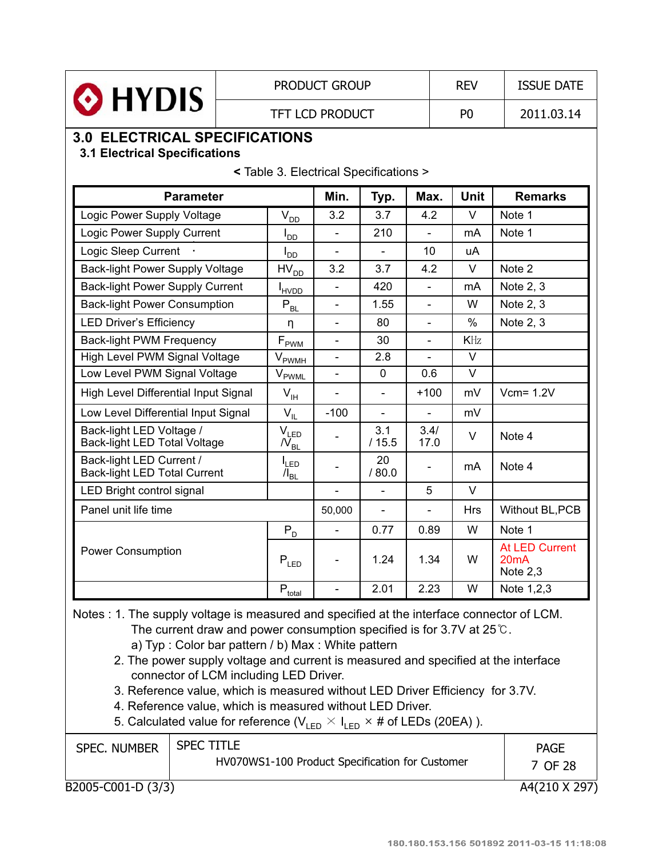|                                                                              |                              | <b>PRODUCT GROUP</b>                   |                          |                          |                          | <b>REV</b>     | <b>ISSUE DATE</b>                                        |
|------------------------------------------------------------------------------|------------------------------|----------------------------------------|--------------------------|--------------------------|--------------------------|----------------|----------------------------------------------------------|
| O HYDIS                                                                      |                              |                                        | <b>TFT LCD PRODUCT</b>   |                          |                          | P <sub>0</sub> | 2011.03.14                                               |
| <b>3.0 ELECTRICAL SPECIFICATIONS</b><br><b>3.1 Electrical Specifications</b> |                              |                                        |                          |                          |                          |                |                                                          |
|                                                                              |                              | < Table 3. Electrical Specifications > |                          |                          |                          |                |                                                          |
| <b>Parameter</b>                                                             |                              |                                        | Min.                     | Typ.                     | Max.                     | <b>Unit</b>    | <b>Remarks</b>                                           |
| Logic Power Supply Voltage                                                   |                              | $V_{D\underline{D}}$                   | 3.2                      | 3.7                      | 4.2                      | $\vee$         | Note 1                                                   |
| Logic Power Supply Current                                                   |                              | $I_{DD}$                               | $\overline{a}$           | 210                      | $\overline{a}$           | mA             | Note 1                                                   |
| Logic Sleep Current                                                          |                              | l <sub>dd</sub>                        | $\overline{\phantom{0}}$ | $\overline{\phantom{0}}$ | 10 <sup>1</sup>          | uA             |                                                          |
| Back-light Power Supply Voltage                                              |                              | $HV_{DD}$                              | 3.2                      | 3.7                      | 4.2                      | $\vee$         | Note 2                                                   |
| <b>Back-light Power Supply Current</b>                                       |                              | <b>I</b> <sub>HVDD</sub>               |                          | 420                      | $\overline{a}$           | mA             | Note 2, 3                                                |
| <b>Back-light Power Consumption</b>                                          |                              | $P_{BL}$                               | $\overline{\phantom{0}}$ | 1.55                     | $\overline{\phantom{0}}$ | W              | Note 2, 3                                                |
| <b>LED Driver's Efficiency</b>                                               |                              | n                                      |                          | 80                       | $\overline{a}$           | $\%$           | Note 2, 3                                                |
| <b>Back-light PWM Frequency</b>                                              |                              | $F_{\rm PWM}$                          | $\overline{\phantom{0}}$ | 30                       | $\overline{\phantom{0}}$ | KHz            |                                                          |
| High Level PWM Signal Voltage                                                |                              | $V_{\rm{FWMH}}$                        |                          | 2.8                      |                          | $\vee$         |                                                          |
| Low Level PWM Signal Voltage                                                 |                              | $V_{\rm PWML}$                         |                          | 0                        | 0.6                      | $\vee$         |                                                          |
| High Level Differential Input Signal                                         |                              | $V_{\text{IH}}$                        |                          |                          | $+100$                   | mV             | $Vcm = 1.2V$                                             |
| Low Level Differential Input Signal                                          |                              | $V_{IL}$                               | $-100$                   | $\overline{a}$           | $\blacksquare$           | mV             |                                                          |
| Back-light LED Voltage /                                                     | Back-light LED Total Voltage |                                        |                          | 3.1<br>/15.5             | 3.4/<br>17.0             | $\vee$         | Note 4                                                   |
| Back-light LED Current /<br>Back-light LED Total Current                     |                              | $I_{LED}$<br>$\Lambda_{BL}$            |                          | 20<br>/80.0              | $\overline{\phantom{0}}$ | mA             | Note 4                                                   |
| LED Bright control signal                                                    |                              |                                        |                          |                          | 5                        | V              |                                                          |
| Panel unit life time                                                         |                              |                                        | 50,000                   | $\overline{a}$           | $\overline{a}$           | <b>Hrs</b>     | Without BL, PCB                                          |
|                                                                              |                              | $P_{D}$                                |                          | 0.77                     | 0.89                     | W              | Note 1                                                   |
| <b>Power Consumption</b>                                                     |                              | $\mathsf{P}_{\mathsf{LED}}$            |                          | 1.24                     | 1.34                     | W              | <b>At LED Current</b><br>20 <sub>m</sub> A<br>Note $2,3$ |
|                                                                              |                              | $P_{\underline{\text{total}}}$         |                          | 2.01                     | 2.23                     | W              | Note 1,2,3                                               |

Notes : 1. The supply voltage is measured and specified at the interface connector of LCM. The current draw and power consumption specified is for 3.7V at  $25^{\circ}$ C.

a) Typ : Color bar pattern / b) Max : White pattern

2. The power supply voltage and current is measured and specified at the interface connector of LCM including LED Driver.

3. Reference value, which is measured without LED Driver Efficiency for 3.7V.

4. Reference value, which is measured without LED Driver.

5. Calculated value for reference ( $V_{LED} \times I_{LED} \times \#$  of LEDs (20EA) ).

| <b>SPEC. NUMBER</b> | <b>SPEC TITLE</b><br>HV070WS1-100 Product Specification for Customer | <b>PAGE</b><br>7 OF 28 |
|---------------------|----------------------------------------------------------------------|------------------------|
|                     |                                                                      |                        |
| B2005-C001-D (3/3)  |                                                                      | A4(210 X 297)          |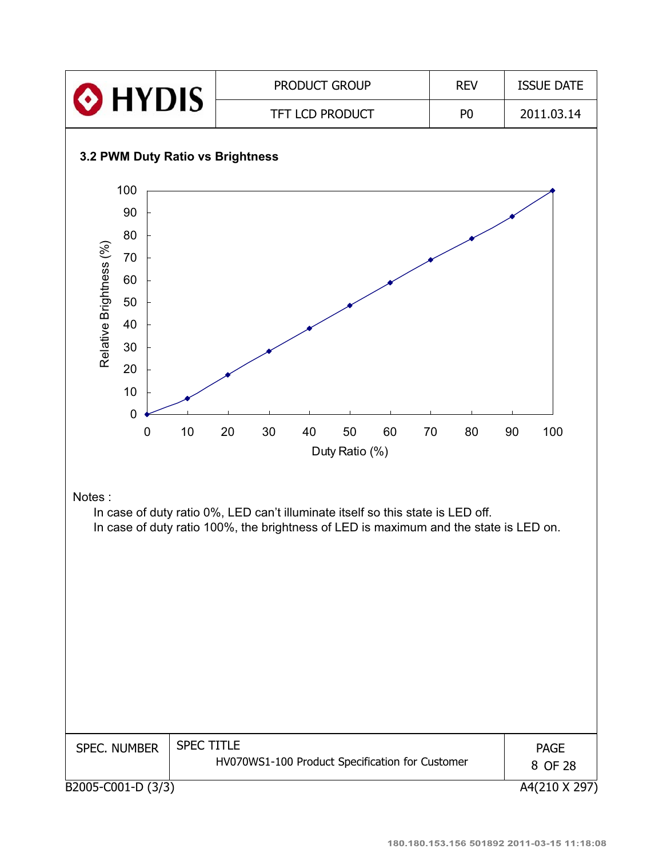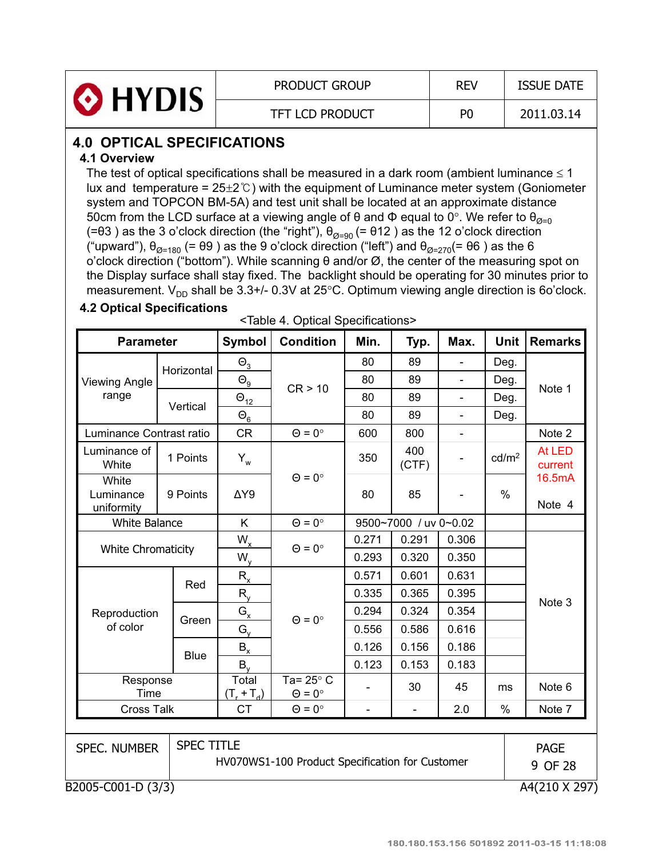| O HYDIS | <b>PRODUCT GROUP</b>   | <b>REV</b>     | <b>ISSUE DATE</b> |
|---------|------------------------|----------------|-------------------|
|         | <b>TFT LCD PRODUCT</b> | P <sub>0</sub> | 2011.03.14        |

# **4.0 OPTICAL SPECIFICATIONS**

### **4.1 Overview**

The test of optical specifications shall be measured in a dark room (ambient luminance  $\leq 1$ lux and temperature =  $25\pm2^{\circ}$  with the equipment of Luminance meter system (Goniometer system and TOPCON BM-5A) and test unit shall be located at an approximate distance 50cm from the LCD surface at a viewing angle of  $\theta$  and  $\Phi$  equal to 0°. We refer to  $\theta_{\alpha=0}$ (= $\theta$ 3) as the 3 o'clock direction (the "right"),  $\theta_{\emptyset=90}$  (=  $\theta$ 12) as the 12 o'clock direction ("upward"),  $\theta_{\emptyset=180}$  (=  $\theta$ 9) as the 9 o'clock direction ("left") and  $\theta_{\emptyset=270}$ (=  $\theta$ 6) as the 6 o'clock direction ("bottom"). While scanning  $\theta$  and/or  $\varnothing$ , the center of the measuring spot on the Display surface shall stay fixed. The backlight should be operating for 30 minutes prior to measurement.  $V_{DD}$  shall be 3.3+/- 0.3V at 25°C. Optimum viewing angle direction is 6o'clock.

### **4.2 Optical Specifications**

<Table 4. Optical Specifications>

|                                  | <b>Parameter</b>  |                            | <b>Condition</b>                                | Min.                     | Typ.                     | Max.                     | Unit              | <b>Remarks</b>    |
|----------------------------------|-------------------|----------------------------|-------------------------------------------------|--------------------------|--------------------------|--------------------------|-------------------|-------------------|
|                                  | Horizontal        | $\Theta_3$                 |                                                 | 80                       | 89                       | $\overline{\phantom{a}}$ | Deg.              |                   |
| <b>Viewing Angle</b>             |                   | $\Theta_{\underline{9}}$   | CR > 10                                         | 80                       | 89                       | $\overline{\phantom{0}}$ | Deg.              | Note 1            |
| range                            | Vertical          | $\Theta_{12}$              |                                                 | 80                       | 89                       | $\frac{1}{2}$            | Deg.              |                   |
|                                  |                   | $\Theta_6$                 |                                                 | 80                       | 89                       | $\overline{\phantom{0}}$ | Deg.              |                   |
| Luminance Contrast ratio         |                   | <b>CR</b>                  | $\Theta = 0^\circ$                              | 600                      | 800                      | $\overline{\phantom{a}}$ |                   | Note 2            |
| Luminance of<br>White            | 1 Points          | $Y_w$                      |                                                 | 350                      | 400<br>(CTF)             | $\overline{\phantom{a}}$ | cd/m <sup>2</sup> | At LED<br>current |
| White<br>Luminance<br>uniformity | 9 Points          | $\Delta Y9$                | $\Theta = 0^{\circ}$                            | 80                       | 85                       |                          | $\%$              | 16.5mA<br>Note 4  |
| <b>White Balance</b>             |                   | K                          | $\Theta = 0^{\circ}$                            |                          | 9500~7000 / uv 0~0.02    |                          |                   |                   |
| <b>White Chromaticity</b>        |                   | $W_{x}$                    | $\Theta = 0^\circ$                              | 0.271                    | 0.291                    | 0.306                    |                   |                   |
|                                  |                   | $W_{y}$                    |                                                 | 0.293                    | 0.320                    | 0.350                    |                   |                   |
|                                  | Red               | $R_{x}$                    |                                                 | 0.571                    | 0.601                    | 0.631                    |                   |                   |
|                                  |                   | $R_{y}$                    |                                                 | 0.335                    | 0.365                    | 0.395                    |                   | Note 3            |
| Reproduction                     |                   | $G_{x}$                    |                                                 | 0.294                    | 0.324                    | 0.354                    |                   |                   |
| of color                         | Green             | $G_{v}$                    | $\Theta = 0^\circ$                              | 0.556                    | 0.586                    | 0.616                    |                   |                   |
|                                  |                   | $B_{x}$                    |                                                 | 0.126                    | 0.156                    | 0.186                    |                   |                   |
|                                  | <b>Blue</b>       |                            |                                                 | 0.123                    | 0.153                    | 0.183                    |                   |                   |
| Response<br>Time                 |                   | Total<br>$(T_{r} + T_{d})$ | Ta= $25^\circ$ C<br>$\Theta = 0^{\circ}$        |                          | 30                       | 45                       | ms                | Note 6            |
| <b>Cross Talk</b>                |                   | <b>CT</b>                  | $\Theta = 0^{\circ}$                            | $\overline{\phantom{a}}$ | $\overline{\phantom{a}}$ | 2.0                      | $\%$              | Note 7            |
|                                  |                   |                            |                                                 |                          |                          |                          |                   |                   |
| <b>SPEC. NUMBER</b>              | <b>SPEC TITLE</b> |                            |                                                 |                          |                          |                          |                   | <b>PAGE</b>       |
|                                  |                   |                            | HV070WS1-100 Product Specification for Customer |                          |                          |                          |                   | 9 OF 28           |
| B2005-C001-D (3/3)               |                   |                            |                                                 |                          |                          |                          |                   | A4(210 X 297)     |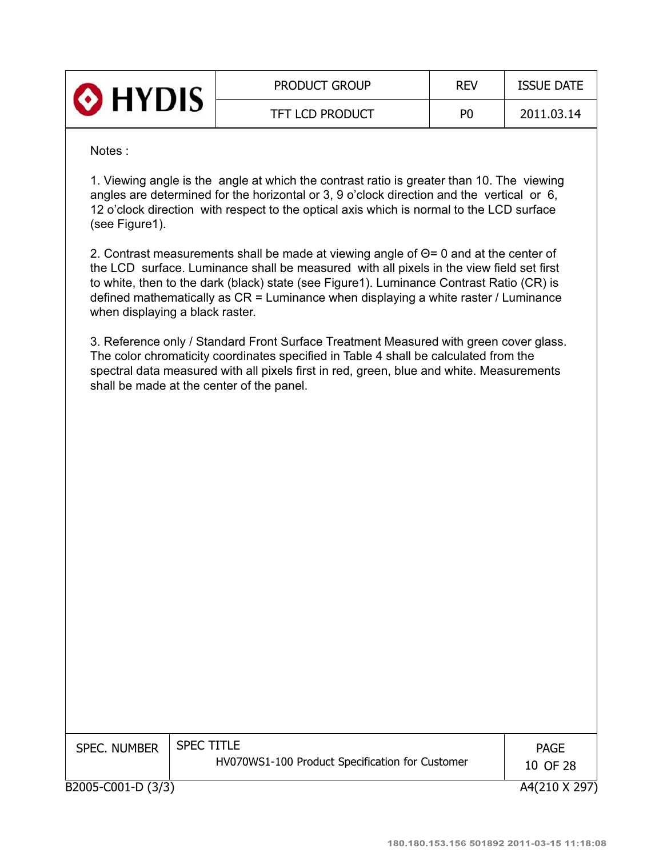| <b>O</b> HYDIS | <b>PRODUCT GROUP</b>   | <b>REV</b>     | <b>ISSUE DATE</b> |
|----------------|------------------------|----------------|-------------------|
|                | <b>TFT LCD PRODUCT</b> | P <sub>0</sub> | 2011.03.14        |

#### Notes :

1. Viewing angle is the angle at which the contrast ratio is greater than 10. The viewing angles are determined for the horizontal or 3, 9 o'clock direction and the vertical or 6, 12 o'clock direction with respect to the optical axis which is normal to the LCD surface (see Figure1).

2. Contrast measurements shall be made at viewing angle of  $\Theta$ = 0 and at the center of the LCD surface. Luminance shall be measured with all pixels in the view field set first to white, then to the dark (black) state (see Figure1). Luminance Contrast Ratio (CR) is defined mathematically as CR = Luminance when displaying a white raster / Luminance when displaying a black raster.

3. Reference only / Standard Front Surface Treatment Measured with green cover glass. The color chromaticity coordinates specified in Table 4 shall be calculated from the spectral data measured with all pixels first in red, green, blue and white. Measurements shall be made at the center of the panel.

| <b>SPEC. NUMBER</b> | <b>SPEC TITLE</b><br>HV070WS1-100 Product Specification for Customer | <b>PAGE</b><br>10 OF 28 |
|---------------------|----------------------------------------------------------------------|-------------------------|
| B2005-C001-D (3/3)  |                                                                      | A4(210 X 297)           |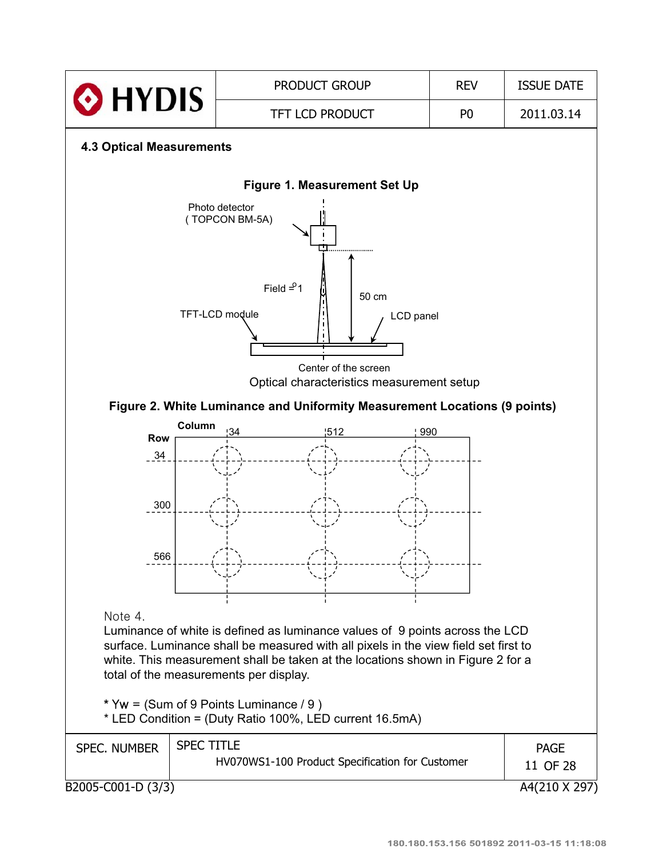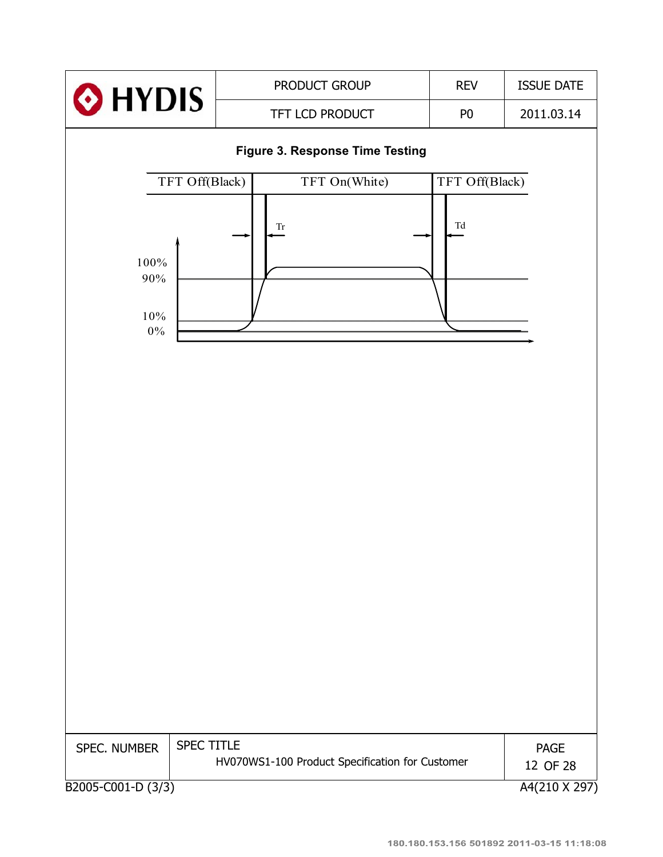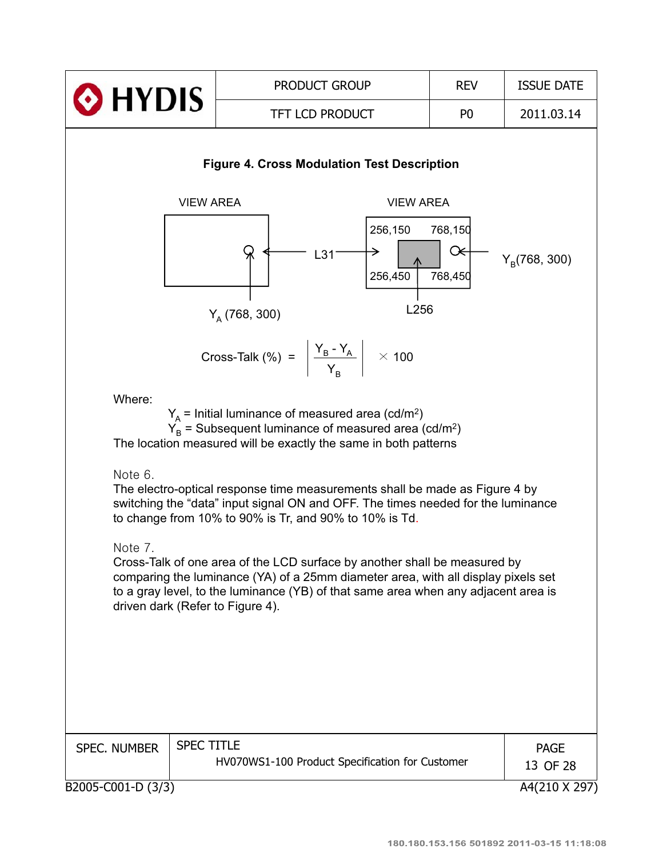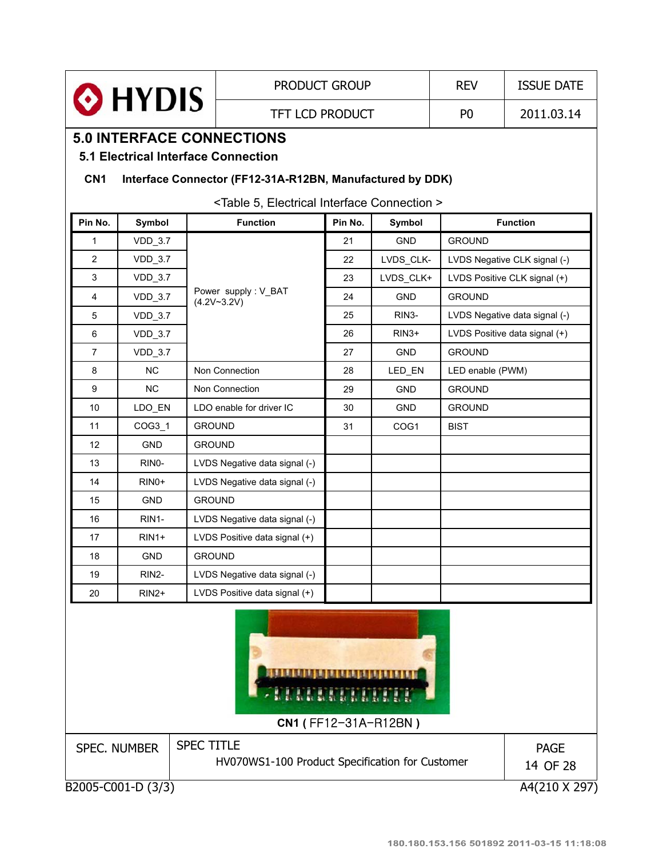|                                                                                                                                                      |                                                           |                                                 | <b>PRODUCT GROUP</b> | <b>REV</b>         | <b>ISSUE DATE</b> |                               |  |  |
|------------------------------------------------------------------------------------------------------------------------------------------------------|-----------------------------------------------------------|-------------------------------------------------|----------------------|--------------------|-------------------|-------------------------------|--|--|
| O HYDIS<br><b>TFT LCD PRODUCT</b>                                                                                                                    |                                                           |                                                 |                      | P <sub>0</sub>     | 2011.03.14        |                               |  |  |
|                                                                                                                                                      |                                                           | <b>5.0 INTERFACE CONNECTIONS</b>                |                      |                    |                   |                               |  |  |
| <b>5.1 Electrical Interface Connection</b>                                                                                                           |                                                           |                                                 |                      |                    |                   |                               |  |  |
| CN <sub>1</sub>                                                                                                                                      | Interface Connector (FF12-31A-R12BN, Manufactured by DDK) |                                                 |                      |                    |                   |                               |  |  |
|                                                                                                                                                      |                                                           |                                                 |                      |                    |                   |                               |  |  |
| <table 5,="" connection="" electrical="" interface=""><br/><b>Function</b><br/>Pin No.<br/>Pin No.<br/>Symbol<br/><b>Function</b><br/>Symbol</table> |                                                           |                                                 |                      |                    |                   |                               |  |  |
| 1                                                                                                                                                    | $VDD_3.7$                                                 |                                                 | 21                   | <b>GND</b>         | <b>GROUND</b>     |                               |  |  |
| $\overline{2}$                                                                                                                                       | $VDD_3.7$                                                 |                                                 | 22                   | LVDS_CLK-          |                   | LVDS Negative CLK signal (-)  |  |  |
| 3                                                                                                                                                    | $VDD_3.7$                                                 |                                                 | 23                   | LVDS_CLK+          |                   | LVDS Positive CLK signal (+)  |  |  |
| 4                                                                                                                                                    | $VDD_3.7$                                                 | Power supply: V_BAT                             | 24                   | <b>GND</b>         | <b>GROUND</b>     |                               |  |  |
| 5                                                                                                                                                    | <b>VDD_3.7</b>                                            | $(4.2V - 3.2V)$                                 | 25                   | RIN <sub>3</sub> - |                   | LVDS Negative data signal (-) |  |  |
| 6                                                                                                                                                    | <b>VDD_3.7</b>                                            |                                                 | 26                   | $RIN3+$            |                   | LVDS Positive data signal (+) |  |  |
| $\overline{7}$                                                                                                                                       | <b>VDD_3.7</b>                                            |                                                 | 27                   | <b>GND</b>         | <b>GROUND</b>     |                               |  |  |
| 8                                                                                                                                                    | <b>NC</b>                                                 | Non Connection                                  | 28                   | LED_EN             | LED enable (PWM)  |                               |  |  |
| 9                                                                                                                                                    | <b>NC</b>                                                 | Non Connection                                  | 29                   | <b>GND</b>         | <b>GROUND</b>     |                               |  |  |
| 10                                                                                                                                                   | LDO_EN                                                    | LDO enable for driver IC                        | 30                   | <b>GND</b>         | <b>GROUND</b>     |                               |  |  |
| 11                                                                                                                                                   | COG3 1                                                    | <b>GROUND</b>                                   | 31                   | COG <sub>1</sub>   | <b>BIST</b>       |                               |  |  |
| 12                                                                                                                                                   | <b>GND</b>                                                | <b>GROUND</b>                                   |                      |                    |                   |                               |  |  |
| 13                                                                                                                                                   | RINO-                                                     | LVDS Negative data signal (-)                   |                      |                    |                   |                               |  |  |
| 14                                                                                                                                                   | $RINO+$                                                   | LVDS Negative data signal (-)                   |                      |                    |                   |                               |  |  |
| 15                                                                                                                                                   | <b>GND</b>                                                | <b>GROUND</b>                                   |                      |                    |                   |                               |  |  |
| 16                                                                                                                                                   | RIN1-                                                     | LVDS Negative data signal (-)                   |                      |                    |                   |                               |  |  |
| 17                                                                                                                                                   | $RIN1+$                                                   | LVDS Positive data signal (+)                   |                      |                    |                   |                               |  |  |
| 18                                                                                                                                                   | <b>GND</b>                                                | <b>GROUND</b>                                   |                      |                    |                   |                               |  |  |
| 19                                                                                                                                                   | RIN2-                                                     | LVDS Negative data signal (-)                   |                      |                    |                   |                               |  |  |
| 20                                                                                                                                                   | $RIN2+$                                                   | LVDS Positive data signal (+)                   |                      |                    |                   |                               |  |  |
| <b>.</b><br>Alban Alban Alba<br>CN1 (FF12-31A-R12BN)                                                                                                 |                                                           |                                                 |                      |                    |                   |                               |  |  |
|                                                                                                                                                      | <b>SPEC. NUMBER</b>                                       | <b>SPEC TITLE</b>                               |                      |                    |                   | <b>PAGE</b>                   |  |  |
|                                                                                                                                                      |                                                           | HV070WS1-100 Product Specification for Customer |                      |                    |                   | 14 OF 28                      |  |  |
|                                                                                                                                                      | B2005-C001-D (3/3)                                        |                                                 |                      |                    |                   | A4(210 X 297)                 |  |  |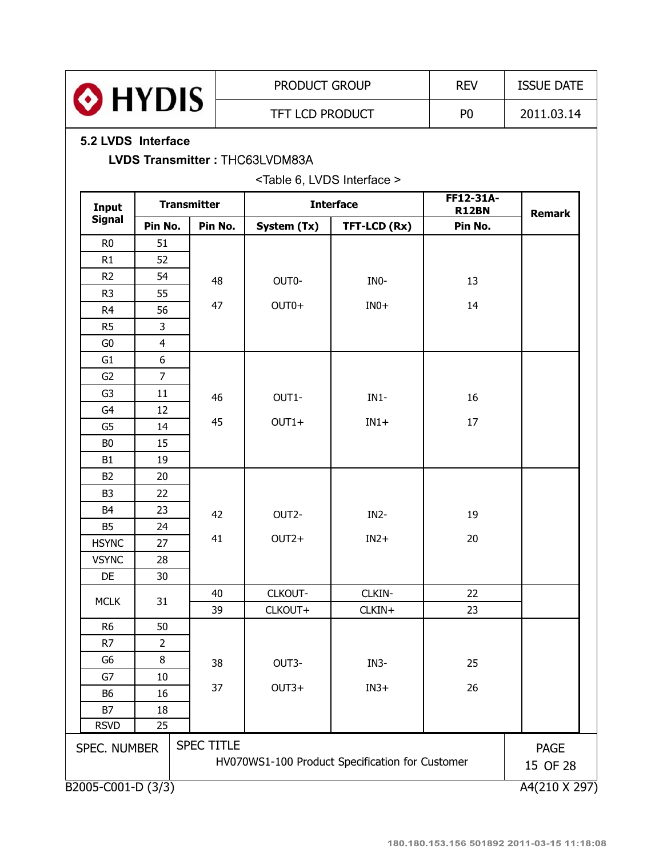|                    |                |                    | PRODUCT GROUP                              |                                                 | <b>REV</b>                | <b>ISSUE DATE</b>       |
|--------------------|----------------|--------------------|--------------------------------------------|-------------------------------------------------|---------------------------|-------------------------|
| O HYDIS            |                |                    | TFT LCD PRODUCT                            |                                                 | P <sub>0</sub>            | 2011.03.14              |
| 5.2 LVDS Interface |                |                    | LVDS Transmitter: THC63LVDM83A             |                                                 |                           |                         |
|                    |                |                    | <table 6,="" interface="" lvds=""></table> |                                                 |                           |                         |
| Input              |                | <b>Transmitter</b> |                                            | <b>Interface</b>                                | FF12-31A-<br><b>R12BN</b> | <b>Remark</b>           |
| <b>Signal</b>      | Pin No.        | Pin No.            | System (Tx)                                | TFT-LCD (Rx)                                    | Pin No.                   |                         |
| R <sub>0</sub>     | 51             |                    |                                            |                                                 |                           |                         |
| R1                 | 52             |                    |                                            |                                                 |                           |                         |
| R <sub>2</sub>     | 54             | 48                 | OUT0-                                      | INO-                                            | 13                        |                         |
| R <sub>3</sub>     | 55             |                    |                                            |                                                 |                           |                         |
| R <sub>4</sub>     | 56             | 47                 | OUT0+                                      | $IN0+$                                          | 14                        |                         |
| R <sub>5</sub>     | 3              |                    |                                            |                                                 |                           |                         |
| G <sub>0</sub>     | $\overline{4}$ |                    |                                            |                                                 |                           |                         |
| G <sub>1</sub>     | 6              |                    |                                            |                                                 |                           |                         |
| G2                 | $\overline{7}$ |                    |                                            |                                                 |                           |                         |
| G <sub>3</sub>     | 11             | 46                 | OUT1-                                      | $IN1-$                                          | 16                        |                         |
| G <sub>4</sub>     | 12             |                    |                                            |                                                 |                           |                         |
| G <sub>5</sub>     | 14             | 45                 | $OUT1+$                                    | $IN1+$                                          | 17                        |                         |
| B <sub>0</sub>     | 15             |                    |                                            |                                                 |                           |                         |
| <b>B1</b>          | 19             |                    |                                            |                                                 |                           |                         |
| <b>B2</b>          | 20             |                    |                                            |                                                 |                           |                         |
| B <sub>3</sub>     | 22             |                    |                                            |                                                 |                           |                         |
| B <sub>4</sub>     | 23             | 42                 | OUT2-                                      | IN <sub>2</sub> -                               | 19                        |                         |
| <b>B5</b>          | 24             |                    |                                            |                                                 |                           |                         |
| <b>HSYNC</b>       | 27             | 41                 | $OUT2+$                                    | $IN2+$                                          | 20                        |                         |
| <b>VSYNC</b>       | 28             |                    |                                            |                                                 |                           |                         |
| DE                 | 30             |                    |                                            |                                                 |                           |                         |
| <b>MCLK</b>        | 31             | 40                 | CLKOUT-                                    | CLKIN-                                          | 22                        |                         |
|                    |                | 39                 | CLKOUT+                                    | CLKIN+                                          | 23                        |                         |
| R <sub>6</sub>     | 50             |                    |                                            |                                                 |                           |                         |
| R7                 | $\overline{2}$ |                    |                                            |                                                 |                           |                         |
| G <sub>6</sub>     | 8              | 38                 | OUT3-                                      | IN <sub>3</sub> -                               | 25                        |                         |
| G7                 | $10\,$         |                    |                                            |                                                 |                           |                         |
| <b>B6</b>          | 16             | 37                 | $OUT3+$                                    | $IN3+$                                          | 26                        |                         |
| <b>B7</b>          | 18             |                    |                                            |                                                 |                           |                         |
| <b>RSVD</b>        | 25             |                    |                                            |                                                 |                           |                         |
| SPEC. NUMBER       |                | <b>SPEC TITLE</b>  |                                            | HV070WS1-100 Product Specification for Customer |                           | <b>PAGE</b><br>15 OF 28 |
| B2005-C001-D (3/3) |                |                    |                                            |                                                 |                           | A4(210 X 297)           |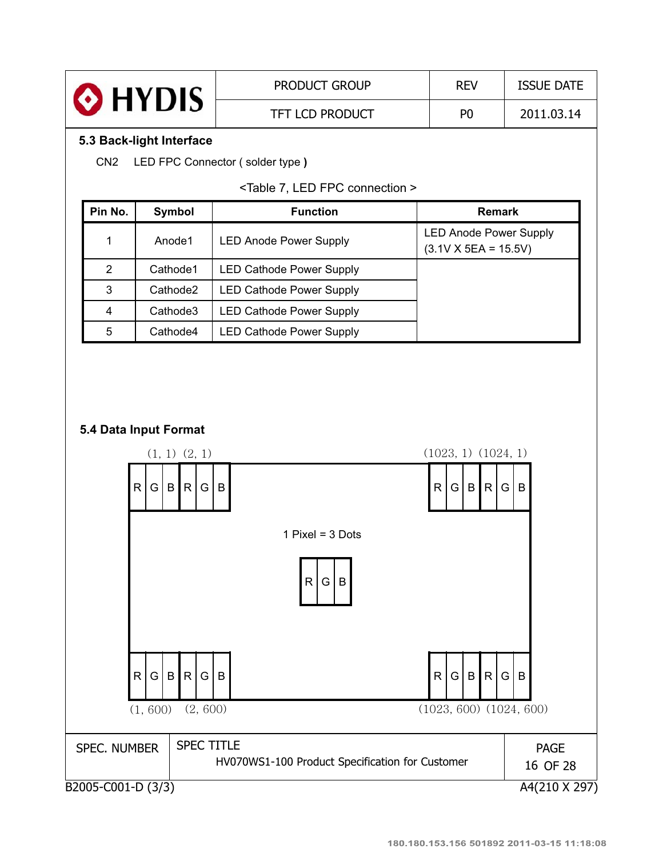

CN2 LED FPC Connector ( solder type **)**

|  |  |  |  | <table 7,="" connection="" fpc="" led=""></table> |  |
|--|--|--|--|---------------------------------------------------|--|
|--|--|--|--|---------------------------------------------------|--|

| Pin No. | Symbol               | <b>Function</b>                 | <b>Remark</b>                                                |
|---------|----------------------|---------------------------------|--------------------------------------------------------------|
|         | Anode1               | <b>LED Anode Power Supply</b>   | <b>LED Anode Power Supply</b><br>$(3.1V \times 5EA = 15.5V)$ |
| 2       | Cathode1             | <b>LED Cathode Power Supply</b> |                                                              |
| 3       | Cathode <sub>2</sub> | <b>LED Cathode Power Supply</b> |                                                              |
| 4       | Cathode3             | <b>LED Cathode Power Supply</b> |                                                              |
| 5       | Cathode4             | <b>LED Cathode Power Supply</b> |                                                              |

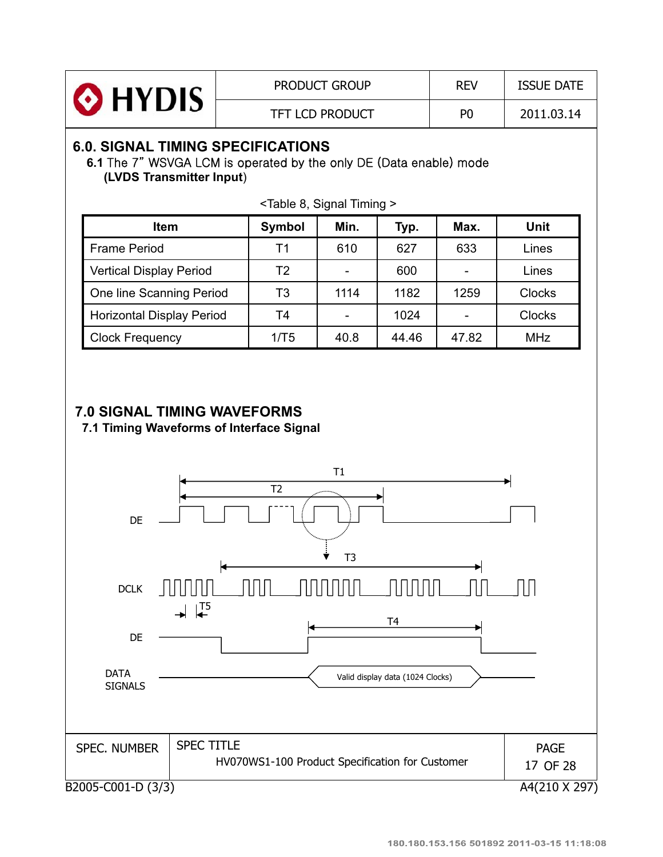

## **6.0. SIGNAL TIMING SPECIFICATIONS**

6.1 The 7" WSVGA LCM is operated by the only DE (Data enable) mode **(LVDS Transmitter Input**)

| Item                             | Symbol | Min. | Typ.  | Max.                     | Unit          |
|----------------------------------|--------|------|-------|--------------------------|---------------|
| <b>Frame Period</b>              | Τ1     | 610  | 627   | 633                      | Lines         |
| <b>Vertical Display Period</b>   | T2     |      | 600   | $\overline{\phantom{0}}$ | Lines         |
| One line Scanning Period         | T3     | 1114 | 1182  | 1259                     | <b>Clocks</b> |
| <b>Horizontal Display Period</b> | T4     |      | 1024  |                          | <b>Clocks</b> |
| <b>Clock Frequency</b>           | 1/T5   | 40.8 | 44.46 | 47.82                    | <b>MHz</b>    |

<Table 8, Signal Timing >

### **7.0 SIGNAL TIMING WAVEFORMS**

**7.1 Timing Waveforms of Interface Signal**

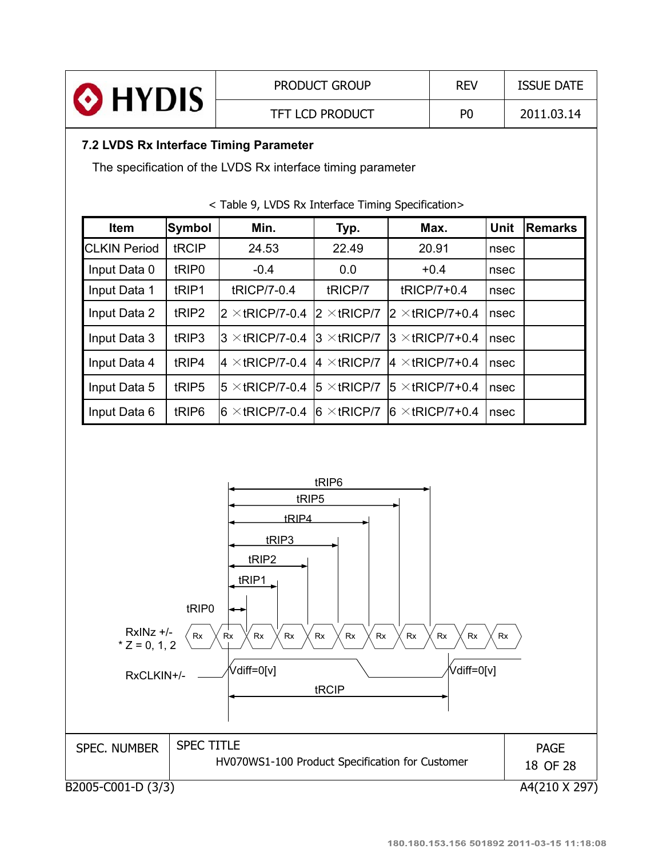| HYDIS <b>O</b>                                              | <b>PRODUCT GROUP</b>   | <b>REV</b>     | <b>ISSUE DATE</b> |  |  |  |
|-------------------------------------------------------------|------------------------|----------------|-------------------|--|--|--|
|                                                             | <b>TFT LCD PRODUCT</b> | P <sub>0</sub> | 2011.03.14        |  |  |  |
| 7.2 LVDS Rx Interface Timing Parameter                      |                        |                |                   |  |  |  |
| The specification of the LVDS Rx interface timing parameter |                        |                |                   |  |  |  |

| <b>Item</b>         | <b>Symbol</b>     | Min.                                        | Typ.                | Max.                    | Unit | <b>Remarks</b> |
|---------------------|-------------------|---------------------------------------------|---------------------|-------------------------|------|----------------|
| <b>CLKIN Period</b> | tRCIP             | 24.53                                       | 22.49               | 20.91                   | nsec |                |
| Input Data 0        | tRIP <sub>0</sub> | $-0.4$                                      | 0.0                 | $+0.4$                  | nsec |                |
| Input Data 1        | tRIP1             | tRICP/7-0.4                                 | tRICP/7             | tRICP/7+0.4             | nsec |                |
| Input Data 2        | tRIP <sub>2</sub> | 2 $\times$ tRICP/7-0.4                      | $2 \times$ tRICP/7  | $2 \times$ tRICP/7+0.4  | nsec |                |
| Input Data 3        | tRIP3             | $3 \times$ tRICP/7-0.4                      | $3 \times$ tRICP/7  | $3 \times$ tRICP/7+0.4  | nsec |                |
| Input Data 4        | tRIP4             | $ 4 \times$ tricp/7-0.4 $ 4 \times$ tricp/7 |                     | $ 4 \times$ tRICP/7+0.4 | nsec |                |
| Input Data 5        | tRIP <sub>5</sub> | $5 \times$ tRICP/7-0.4                      | $15 \times tRICP/7$ | $15 \times$ tRICP/7+0.4 | nsec |                |
| Input Data 6        | tRIP <sub>6</sub> | $6 \times$ tricp/7-0.4                      | $6 \times$ tRICP/7  | $6 \times$ tRICP/7+0.4  | nsec |                |

### < Table 9, LVDS Rx Interface Timing Specification>

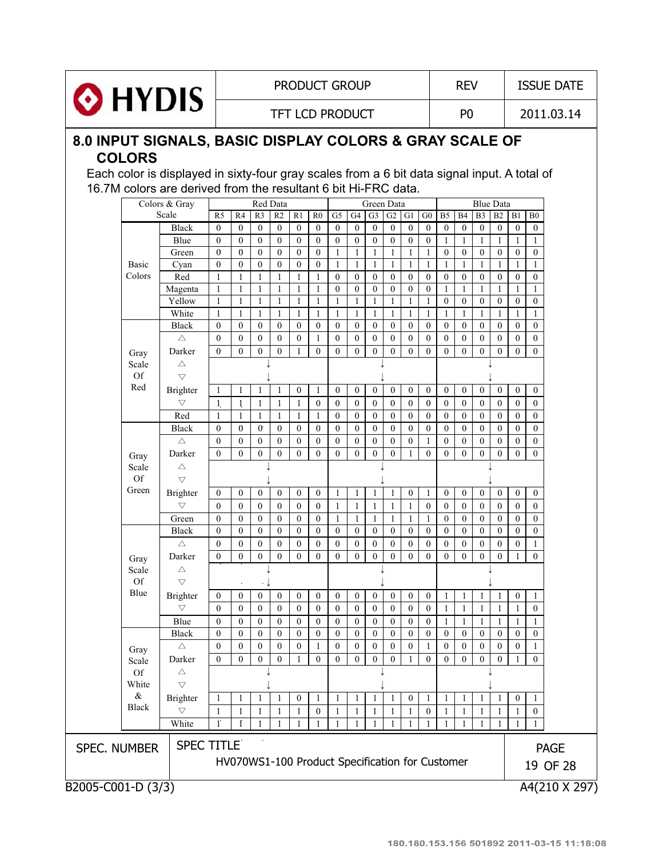

TFT LCD PRODUCT P0 2011.03.14

### **8.0 INPUT SIGNALS, BASIC DISPLAY COLORS & GRAY SCALE OF COLORS**

Each color is displayed in sixty-four gray scales from a 6 bit data signal input. A total of 16.7M colors are derived from the resultant 6 bit Hi-FRC data.

|                                                 |                   | Colors & Gray<br>Red Data<br>Green Data<br><b>Blue Data</b> |                      |                  |                      |                  |                  |                  |                  |                  |                  |                  |                  |                  |                  |                  |                  |                  |                  |                  |             |
|-------------------------------------------------|-------------------|-------------------------------------------------------------|----------------------|------------------|----------------------|------------------|------------------|------------------|------------------|------------------|------------------|------------------|------------------|------------------|------------------|------------------|------------------|------------------|------------------|------------------|-------------|
|                                                 |                   | Scale                                                       | R <sub>5</sub>       | R <sub>4</sub>   | R <sub>3</sub>       | R2               | R1               | $_{\rm R0}$      | G <sub>5</sub>   | G4               | G <sub>3</sub>   | G2               | G1               | ${\rm G0}$       | B <sub>5</sub>   | <b>B4</b>        | B <sub>3</sub>   | B2               | B1               | B <sub>0</sub>   |             |
|                                                 |                   | Black                                                       | $\mathbf{0}$         | $\mathbf{0}$     | $\mathbf{0}$         | $\boldsymbol{0}$ | $\mathbf{0}$     | $\mathbf{0}$     | $\mathbf{0}$     | $\mathbf{0}$     | $\mathbf{0}$     | $\boldsymbol{0}$ | $\boldsymbol{0}$ | $\mathbf{0}$     | $\boldsymbol{0}$ | $\boldsymbol{0}$ | $\boldsymbol{0}$ | $\mathbf{0}$     | $\boldsymbol{0}$ | $\mathbf{0}$     |             |
|                                                 |                   | Blue                                                        | $\mathbf{0}$         | $\mathbf{0}$     | $\mathbf{0}$         | $\boldsymbol{0}$ | $\boldsymbol{0}$ | $\boldsymbol{0}$ | $\boldsymbol{0}$ | $\mathbf{0}$     | $\overline{0}$   | $\mathbf{0}$     | $\boldsymbol{0}$ | $\mathbf{0}$     | $\mathbf{1}$     | $\mathbf{1}$     | $\mathbf{1}$     | 1                | $\mathbf{1}$     | 1                |             |
|                                                 |                   | Green                                                       | $\sigma$             | $\mathbf{0}$     | $\mathbf{0}$         | $\overline{0}$   | $\boldsymbol{0}$ | $\mathbf{0}$     | $\mathbf{1}$     | 1                | $\mathbf{1}$     | 1                | $\mathbf{1}$     | 1                | $\boldsymbol{0}$ | $\mathbf{0}$     | $\boldsymbol{0}$ | $\mathbf{0}$     | $\boldsymbol{0}$ | $\mathbf{0}$     |             |
|                                                 | Basic             | Cyan                                                        | $\mathbf{0}$         | $\mathbf{0}$     | $\mathbf{0}$         | $\mathbf{0}$     | $\boldsymbol{0}$ | $\mathbf{0}$     | $\mathbf{1}$     | 1                | $\mathbf{1}$     | 1                | $\mathbf{1}$     | $\mathbf{1}$     | $\mathbf{1}$     | 1                | $\mathbf{1}$     | 1                | $\mathbf{1}$     | 1                |             |
|                                                 | Colors            | Red                                                         | $\mathbf{1}$         | 1                | $\mathbf{1}$         | 1                | 1                | $\mathbf{1}$     | $\mathbf{0}$     | $\mathbf{0}$     | $\mathbf{0}$     | $\mathbf{0}$     | $\boldsymbol{0}$ | $\mathbf{0}$     | $\boldsymbol{0}$ | $\mathbf{0}$     | $\boldsymbol{0}$ | $\mathbf{0}$     | $\mathbf{0}$     | $\mathbf{0}$     |             |
|                                                 |                   | Magenta                                                     | $\mathbf{1}$         | $\mathbf{1}$     | $\mathbf{1}$         | $\mathbf{1}$     | $\mathbf{1}$     | $\mathbf{1}$     | $\overline{0}$   | $\mathbf{0}$     | $\mathbf{0}$     | $\mathbf{0}$     | $\mathbf{0}$     | $\mathbf{0}$     | $\mathbf{1}$     | $\mathbf{1}$     | $\mathbf{1}$     | $\mathbf{1}$     | 1                | $\mathbf{1}$     |             |
|                                                 |                   | Yellow                                                      | $\mathbf{1}$         | $\mathbf{1}$     | $\mathbf{1}$         | $\mathbf{1}$     | $\mathbf{1}$     | $\mathbf{1}$     | $\mathbf{1}$     | $\mathbf{1}$     | $\mathbf{1}$     | $\mathbf{1}$     | $\mathbf{1}$     | 1                | $\boldsymbol{0}$ | $\mathbf{0}$     | $\boldsymbol{0}$ | $\mathbf{0}$     | $\boldsymbol{0}$ | $\mathbf{0}$     |             |
|                                                 |                   | White                                                       | $\mathbf{1}$         | $\mathbf{1}$     | $\mathbf{1}$         | $\mathbf{1}$     | $\mathbf{1}$     | $\mathbf{1}$     | $\mathbf{1}$     | 1                | $\mathbf{1}$     | $\mathbf{1}$     | $\mathbf{1}$     | $\mathbf{1}$     | $\mathbf{1}$     | $\mathbf{1}$     | $\mathbf{1}$     | $\mathbf{1}$     | $\mathbf{1}$     | $\mathbf{1}$     |             |
|                                                 |                   | Black                                                       | $\mathbf{0}$         | $\mathbf{0}$     | $\mathbf{0}$         | $\mathbf{0}$     | $\mathbf{0}$     | $\mathbf{0}$     | $\overline{0}$   | $\mathbf{0}$     | $\mathbf{0}$     | $\mathbf{0}$     | $\boldsymbol{0}$ | $\mathbf{0}$     | $\mathbf{0}$     | $\mathbf{0}$     | $\boldsymbol{0}$ | $\mathbf{0}$     | $\overline{0}$   | $\mathbf{0}$     |             |
|                                                 |                   | $\triangle$                                                 | $\mathbf{0}$         | $\mathbf{0}$     | $\boldsymbol{0}$     | $\boldsymbol{0}$ | $\boldsymbol{0}$ | $\mathbf{1}$     | $\boldsymbol{0}$ | $\mathbf{0}$     | $\boldsymbol{0}$ | $\boldsymbol{0}$ | $\boldsymbol{0}$ | $\boldsymbol{0}$ | $\boldsymbol{0}$ | $\mathbf{0}$     | $\boldsymbol{0}$ | $\boldsymbol{0}$ | $\boldsymbol{0}$ | $\mathbf{0}$     |             |
|                                                 | Gray              | Darker                                                      | $\theta$             | $\mathbf{0}$     | $\overline{0}$       | $\mathbf{0}$     | $\mathbf{1}$     | $\mathbf{0}$     | $\overline{0}$   | $\theta$         | $\overline{0}$   | $\mathbf{0}$     | $\mathbf{0}$     | $\mathbf{0}$     | $\mathbf{0}$     | $\mathbf{0}$     | $\overline{0}$   | $\theta$         | $\overline{0}$   | $\theta$         |             |
|                                                 | Scale             | $\triangle$                                                 |                      |                  |                      |                  |                  |                  |                  |                  |                  |                  |                  |                  |                  |                  |                  |                  |                  |                  |             |
|                                                 | Of                | $\overline{\nabla}$                                         |                      |                  |                      |                  |                  |                  |                  |                  |                  |                  |                  |                  |                  |                  |                  |                  |                  |                  |             |
|                                                 | Red               | Brighter                                                    | 1                    | $\mathbf{1}$     | $\mathbf{1}$         | $\mathbf{1}$     | $\mathbf{0}$     | $\mathbf{1}$     | $\overline{0}$   | $\mathbf{0}$     | $\mathbf{0}$     | $\mathbf{0}$     | $\boldsymbol{0}$ | $\boldsymbol{0}$ | $\mathbf{0}$     | $\mathbf{0}$     | $\boldsymbol{0}$ | $\mathbf{0}$     | $\overline{0}$   | $\boldsymbol{0}$ |             |
|                                                 |                   | $\bigtriangledown$                                          | $\mathbf{1}$         | $\mathbf{1}$     | $\mathbf{1}$         | $\mathbf{1}$     | $\mathbf{1}$     | $\boldsymbol{0}$ | $\boldsymbol{0}$ | $\mathbf{0}$     | $\mathbf{0}$     | $\mathbf{0}$     | $\boldsymbol{0}$ | $\boldsymbol{0}$ | $\mathbf{0}$     | $\mathbf{0}$     | $\boldsymbol{0}$ | $\mathbf{0}$     | $\boldsymbol{0}$ | $\mathbf{0}$     |             |
|                                                 |                   | Red                                                         | 1                    | 1                | $\mathbf{1}$         | 1                | $\mathbf{1}$     | $\mathbf{1}$     | $\overline{0}$   | $\mathbf{0}$     | $\mathbf{0}$     | $\mathbf{0}$     | $\overline{0}$   | $\mathbf{0}$     | $\mathbf{0}$     | $\mathbf{0}$     | $\mathbf{0}$     | $\mathbf{0}$     | $\overline{0}$   | $\theta$         |             |
|                                                 |                   | Black                                                       | $\mathbf{0}$         | $\theta$         | $\sigma$             | $\overline{0}$   | $\overline{0}$   | $\mathbf{0}$     | $\mathbf{0}$     | $\overline{0}$   | $\mathbf{0}$     | $\mathbf{0}$     | $\mathbf{0}$     | $\mathbf{0}$     | $\mathbf{0}$     | $\mathbf{0}$     | $\mathbf{0}$     | $\mathbf{0}$     | $\mathbf{0}$     | $\mathbf{0}$     |             |
|                                                 |                   | $\triangle$                                                 | $\mathbf{0}$         | $\mathbf{0}$     | $\mathbf{0}$         | $\mathbf{0}$     | $\mathbf{0}$     | $\mathbf{0}$     | $\boldsymbol{0}$ | $\mathbf{0}$     | $\overline{0}$   | $\mathbf{0}$     | $\boldsymbol{0}$ | 1                | $\mathbf{0}$     | $\mathbf{0}$     | $\boldsymbol{0}$ | $\mathbf{0}$     | $\boldsymbol{0}$ | $\mathbf{0}$     |             |
|                                                 | Gray              | Darker                                                      | $\mathbf{0}$         | $\mathbf{0}$     | $\overline{0}$       | $\overline{0}$   | $\boldsymbol{0}$ | $\mathbf{0}$     | $\overline{0}$   | $\mathbf{0}$     | $\boldsymbol{0}$ | $\mathbf{0}$     | $\mathbf{1}$     | $\mathbf{0}$     | $\mathbf{0}$     | $\mathbf{0}$     | $\boldsymbol{0}$ | $\mathbf{0}$     | $\mathbf{0}$     | $\mathbf{0}$     |             |
|                                                 | Scale             | $\triangle$                                                 |                      |                  |                      |                  |                  |                  |                  |                  |                  |                  |                  |                  |                  |                  |                  |                  |                  |                  |             |
|                                                 | Of                | $\overline{\nabla}$                                         |                      |                  |                      |                  |                  |                  |                  |                  |                  |                  |                  |                  |                  |                  |                  |                  |                  |                  |             |
|                                                 | Green             | Brighter                                                    | $\mathbf{0}$         | $\mathbf{0}$     | $\boldsymbol{0}$     | $\mathbf{0}$     | $\mathbf{0}$     | $\boldsymbol{0}$ | $\mathbf{1}$     | 1                | 1                | 1                | $\mathbf{0}$     | 1                | $\boldsymbol{0}$ | $\mathbf{0}$     | $\mathbf{0}$     | $\bf{0}$         | $\bf{0}$         | $\bf{0}$         |             |
|                                                 |                   | $\triangledown$                                             | $\theta$             | $\mathbf{0}$     | $\mathbf{0}$         | $\mathbf{0}$     | $\mathbf{0}$     | $\mathbf{0}$     | $\mathbf{1}$     | $\mathbf{1}$     | $\mathbf{1}$     | $\mathbf{1}$     | $\mathbf{1}$     | $\mathbf{0}$     | $\mathbf{0}$     | $\mathbf{0}$     | $\mathbf{0}$     | $\mathbf{0}$     | $\mathbf{0}$     | $\mathbf{0}$     |             |
|                                                 |                   | Green                                                       | $\mathbf{0}$         | $\bf{0}$         | $\mathbf{0}$         | $\boldsymbol{0}$ | $\mathbf{0}$     | $\mathbf{0}$     | $\mathbf{1}$     | -1               | $\mathbf{1}$     | 1                | $\mathbf{1}$     | 1                | $\mathbf{0}$     | $\bf{0}$         | $\boldsymbol{0}$ | $\bf{0}$         | $\boldsymbol{0}$ | $\boldsymbol{0}$ |             |
|                                                 |                   | <b>Black</b>                                                | $\mathbf{0}$         | $\mathbf{0}$     | $\mathbf{0}$         | $\mathbf{0}$     | $\mathbf{0}$     | $\mathbf{0}$     | $\boldsymbol{0}$ | $\mathbf{0}$     | $\mathbf{0}$     | $\mathbf{0}$     | $\mathbf{0}$     | $\mathbf{0}$     | $\mathbf{0}$     | $\mathbf{0}$     | $\mathbf{0}$     | $\mathbf{0}$     | $\mathbf{0}$     | $\mathbf{0}$     |             |
|                                                 |                   | $\triangle$                                                 | $\mathbf{0}$         | $\mathbf{0}$     | $\mathbf{0}$         | $\mathbf{0}$     | $\mathbf{0}$     | $\mathbf{0}$     | $\mathbf{0}$     | $\mathbf{0}$     | $\mathbf{0}$     | $\mathbf{0}$     | $\mathbf{0}$     | $\mathbf{0}$     | $\mathbf{0}$     | $\mathbf{0}$     | $\boldsymbol{0}$ | $\mathbf{0}$     | $\mathbf{0}$     | 1                |             |
|                                                 |                   |                                                             | $\mathbf{0}$         | $\mathbf{0}$     | $\mathbf{0}$         | $\mathbf{0}$     | $\mathbf{0}$     | $\mathbf{0}$     | $\overline{0}$   | $\mathbf{0}$     | $\overline{0}$   | $\mathbf{0}$     | $\overline{0}$   | $\mathbf{0}$     | $\mathbf{0}$     | $\mathbf{0}$     | $\mathbf{0}$     | $\mathbf{0}$     | 1                | $\mathbf{0}$     |             |
|                                                 | Gray              | Darker                                                      |                      |                  |                      |                  |                  |                  |                  |                  |                  |                  |                  |                  |                  |                  |                  |                  |                  |                  |             |
|                                                 | Scale             | $\triangle$                                                 |                      |                  |                      |                  |                  |                  |                  |                  |                  |                  |                  |                  |                  |                  |                  |                  |                  |                  |             |
|                                                 | <b>Of</b><br>Blue | $\overline{\nabla}$                                         |                      |                  | $\cdot$ $\downarrow$ |                  |                  |                  |                  |                  |                  |                  |                  |                  |                  |                  |                  |                  |                  |                  |             |
|                                                 |                   | Brighter                                                    | $\mathbf{0}$         | $\boldsymbol{0}$ | $\boldsymbol{0}$     | $\mathbf{0}$     | $\boldsymbol{0}$ | $\boldsymbol{0}$ | $\overline{0}$   | $\boldsymbol{0}$ | $\boldsymbol{0}$ | $\boldsymbol{0}$ | $\boldsymbol{0}$ | $\boldsymbol{0}$ | $\mathbf{1}$     | $\mathbf{1}$     | $\mathbf{1}$     | $\mathbf{1}$     | $\boldsymbol{0}$ | $\mathbf{1}$     |             |
|                                                 |                   | $\bigtriangledown$                                          | $\Omega$             | $\mathbf{0}$     | $\mathbf{0}$         | $\mathbf{0}$     | $\mathbf{0}$     | $\mathbf{0}$     | $\mathbf{0}$     | $\mathbf{0}$     | $\mathbf{0}$     | $\mathbf{0}$     | $\boldsymbol{0}$ | $\mathbf{0}$     | $\mathbf{1}$     | $\mathbf{1}$     | $\mathbf{1}$     | -1               | $\mathbf{1}$     | $\mathbf{0}$     |             |
|                                                 |                   | Blue                                                        | $\mathbf{0}$         | $\mathbf{0}$     | $\mathbf{0}$         | $\mathbf{0}$     | $\mathbf{0}$     | $\mathbf{0}$     | $\overline{0}$   | $\mathbf{0}$     | $\mathbf{0}$     | $\mathbf{0}$     | $\boldsymbol{0}$ | $\mathbf{0}$     | $\mathbf{1}$     | $\mathbf{1}$     | $\mathbf{1}$     | $\mathbf{1}$     | $\mathbf{1}$     | 1                |             |
|                                                 |                   | Black                                                       | $\mathbf{0}$         | $\mathbf{0}$     | $\mathbf{0}$         | $\mathbf{0}$     | $\mathbf{0}$     | $\mathbf{0}$     | $\overline{0}$   | $\mathbf{0}$     | $\overline{0}$   | $\mathbf{0}$     | $\mathbf{0}$     | $\mathbf{0}$     | $\mathbf{0}$     | $\mathbf{0}$     | $\mathbf{0}$     | $\mathbf{0}$     | $\overline{0}$   | $\mathbf{0}$     |             |
|                                                 | Gray              | $\triangle$                                                 | $\mathbf{0}$         | $\bf{0}$         | $\boldsymbol{0}$     | $\mathbf{0}$     | $\boldsymbol{0}$ | $\mathbf{1}$     | $\mathbf{0}$     | $\mathbf{0}$     | $\mathbf{0}$     | $\mathbf{0}$     | $\boldsymbol{0}$ | -1               | $\mathbf{0}$     | $\mathbf{0}$     | $\boldsymbol{0}$ | $\bf{0}$         | $\overline{0}$   | 1                |             |
|                                                 | Scale             | Darker                                                      | $\theta$             | $\overline{0}$   | $\boldsymbol{0}$     | $\mathbf{0}$     | $\mathbf{1}$     | $\theta$         | $\overline{0}$   | $\theta$         | $\overline{0}$   | $\boldsymbol{0}$ | $\mathbf{1}$     | $\theta$         | $\overline{0}$   | $\mathbf{0}$     | $\boldsymbol{0}$ | $\mathbf{0}$     | 1                | $\theta$         |             |
|                                                 | Of                | $\triangle$                                                 |                      |                  |                      |                  |                  |                  |                  |                  |                  |                  |                  |                  |                  |                  |                  |                  |                  |                  |             |
|                                                 | White             | $\bigtriangledown$                                          |                      |                  |                      |                  |                  |                  |                  |                  |                  |                  |                  |                  |                  |                  | ↓                |                  |                  |                  |             |
|                                                 | &                 | Brighter                                                    | 1                    | 1                | 1                    | 1                | $\boldsymbol{0}$ | 1                | 1                | 1                | 1                | 1                | $\boldsymbol{0}$ | 1                | 1                | 1                | 1                | -1               | $\bf{0}$         | 1                |             |
|                                                 | Black             | $\bigtriangledown$                                          | 1                    | 1                | 1                    | 1                | 1                | $\bf{0}$         | 1                | 1                | 1                |                  | 1                | $\bf{0}$         | 1                |                  |                  | 1                | 1                | $\bf{0}$         |             |
|                                                 |                   | White                                                       | $\mathbf{1}^{\cdot}$ |                  |                      |                  | 1                | $\mathbf{1}$     | 1                | 1                | 1                |                  |                  |                  |                  |                  |                  | 1                |                  |                  |             |
| SPEC. NUMBER                                    |                   | <b>SPEC TITLE</b>                                           |                      |                  |                      |                  |                  |                  |                  |                  |                  |                  |                  |                  |                  |                  |                  |                  |                  |                  | <b>PAGE</b> |
| HV070WS1-100 Product Specification for Customer |                   |                                                             |                      |                  |                      |                  |                  |                  |                  | 19 OF 28         |                  |                  |                  |                  |                  |                  |                  |                  |                  |                  |             |
| B2005-C001-D (3/3)<br>A4(210 X 297)             |                   |                                                             |                      |                  |                      |                  |                  |                  |                  |                  |                  |                  |                  |                  |                  |                  |                  |                  |                  |                  |             |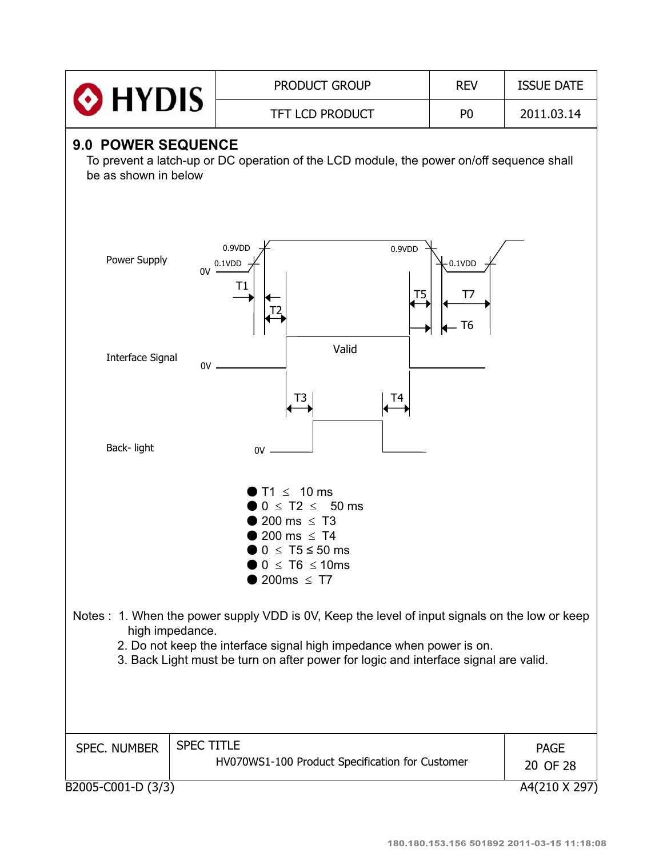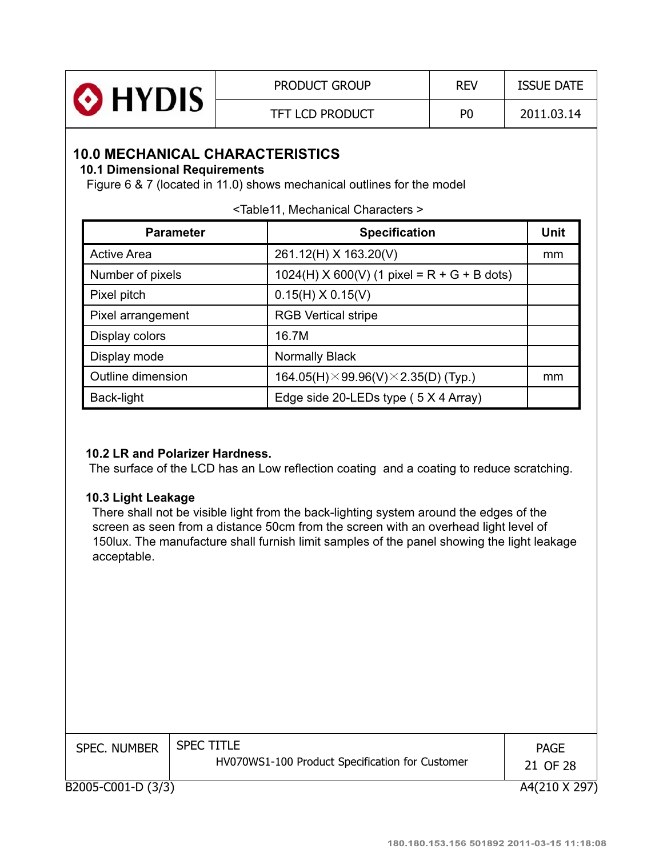| HYDIS <sup>®</sup> | <b>PRODUCT GROUP</b>   | <b>REV</b>     | <b>ISSUE DATE</b> |
|--------------------|------------------------|----------------|-------------------|
|                    | <b>TFT LCD PRODUCT</b> | P <sub>0</sub> | 2011.03.14        |

### **10.0 MECHANICAL CHARACTERISTICS**

### **10.1 Dimensional Requirements**

Figure 6 & 7 (located in 11.0) shows mechanical outlines for the model

|  |  | <table11, characters="" mechanical=""></table11,> |
|--|--|---------------------------------------------------|
|  |  |                                                   |

| <b>Parameter</b>   | <b>Specification</b>                                | <b>Unit</b> |
|--------------------|-----------------------------------------------------|-------------|
| <b>Active Area</b> | 261.12(H) X 163.20(V)                               | mm          |
| Number of pixels   | $1024(H)$ X 600(V) (1 pixel = R + G + B dots)       |             |
| Pixel pitch        | $0.15(H) \times 0.15(V)$                            |             |
| Pixel arrangement  | <b>RGB Vertical stripe</b>                          |             |
| Display colors     | 16.7M                                               |             |
| Display mode       | <b>Normally Black</b>                               |             |
| Outline dimension  | 164.05(H) $\times$ 99.96(V) $\times$ 2.35(D) (Typ.) | mm          |
| Back-light         | Edge side 20-LEDs type (5 X 4 Array)                |             |

### **10.2 LR and Polarizer Hardness.**

The surface of the LCD has an Low reflection coating and a coating to reduce scratching.

### **10.3 Light Leakage**

There shall not be visible light from the back-lighting system around the edges of the screen as seen from a distance 50cm from the screen with an overhead light level of 150lux. The manufacture shall furnish limit samples of the panel showing the light leakage acceptable.

| <b>SPEC. NUMBER</b> | <b>SPEC TITLE</b><br>HV070WS1-100 Product Specification for Customer | <b>PAGE</b><br>21 OF 28 |
|---------------------|----------------------------------------------------------------------|-------------------------|
| B2005-C001-D (3/3)  |                                                                      | A4(210 X 297)           |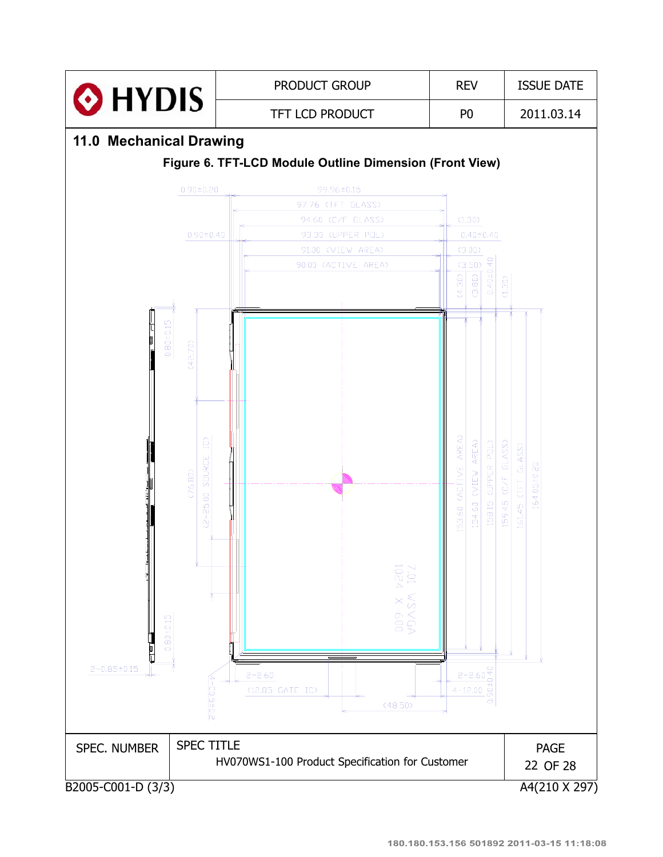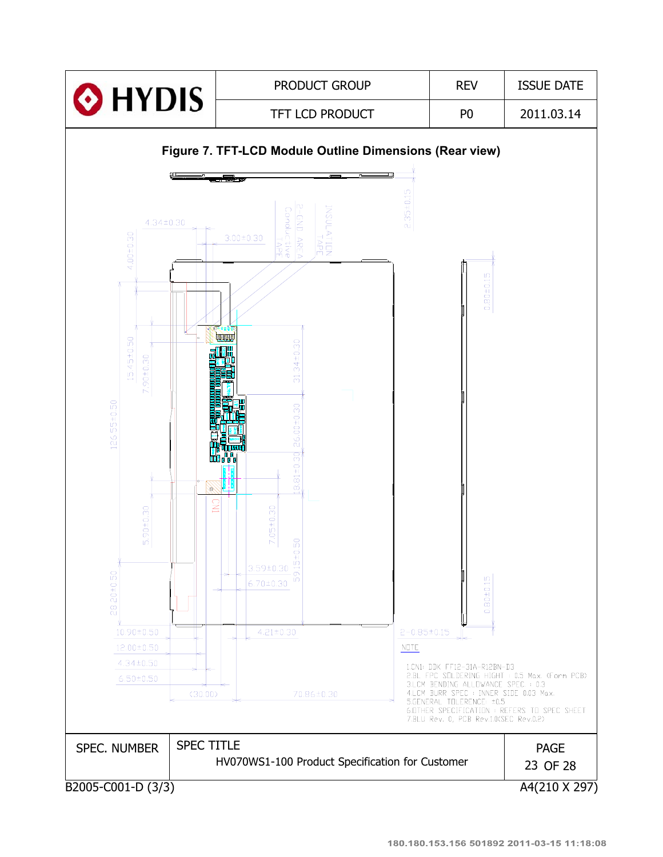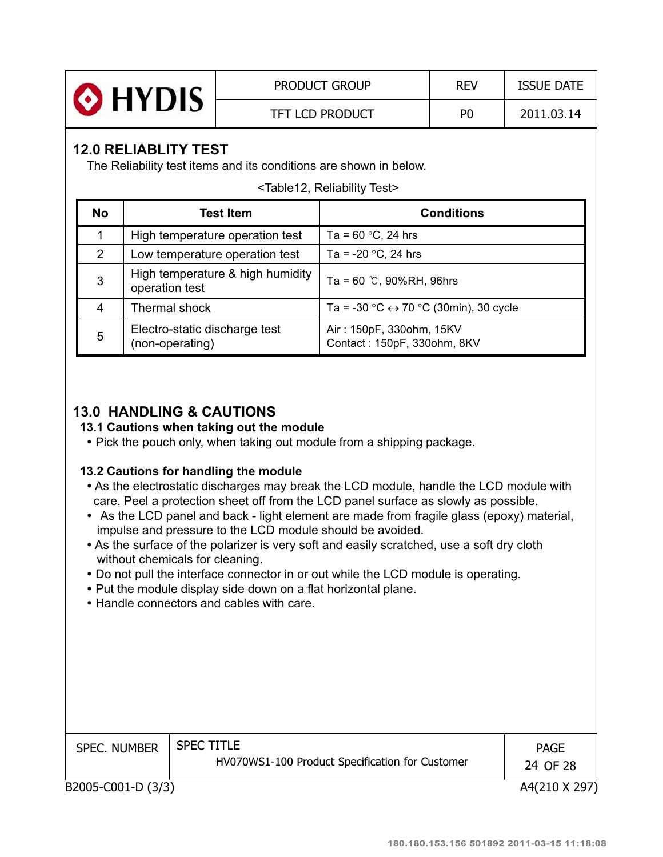| <b>O</b> HYDIS | <b>PRODUCT GROUP</b>   | <b>REV</b> | <b>ISSUE DATE</b> |
|----------------|------------------------|------------|-------------------|
|                | <b>TFT LCD PRODUCT</b> | P0         | 2011.03.14        |

### **12.0 RELIABLITY TEST**

The Reliability test items and its conditions are shown in below.

<Table12, Reliability Test>

| <b>No</b> | <b>Test Item</b>                                   | <b>Conditions</b>                                       |
|-----------|----------------------------------------------------|---------------------------------------------------------|
|           | High temperature operation test                    | Ta = $60 °C$ , 24 hrs                                   |
| 2         | Low temperature operation test                     | Ta = -20 $^{\circ}$ C, 24 hrs                           |
| 3         | High temperature & high humidity<br>operation test | Ta = 60 $\degree$ C, 90%RH, 96hrs                       |
| 4         | Thermal shock                                      | Ta = -30 °C $\leftrightarrow$ 70 °C (30min), 30 cycle   |
| 5         | Electro-static discharge test<br>(non-operating)   | Air: 150pF, 330ohm, 15KV<br>Contact: 150pF, 330ohm, 8KV |

### **13.0 HANDLING & CAUTIONS**

### **13.1 Cautions when taking out the module**

• Pick the pouch only, when taking out module from a shipping package.

### **13.2 Cautions for handling the module**

- As the electrostatic discharges may break the LCD module, handle the LCD module with care. Peel a protection sheet off from the LCD panel surface as slowly as possible.
- As the LCD panel and back light element are made from fragile glass (epoxy) material, impulse and pressure to the LCD module should be avoided.
- As the surface of the polarizer is very soft and easily scratched, use a soft dry cloth without chemicals for cleaning.
- Do not pull the interface connector in or out while the LCD module is operating.
- Put the module display side down on a flat horizontal plane.
- Handle connectors and cables with care.

| <b>SPEC. NUMBER</b> | <b>SPEC TITLE</b><br>HV070WS1-100 Product Specification for Customer | <b>PAGE</b><br>24 OF 28 |
|---------------------|----------------------------------------------------------------------|-------------------------|
| B2005-C001-D (3/3)  |                                                                      | A4(210 X 297)           |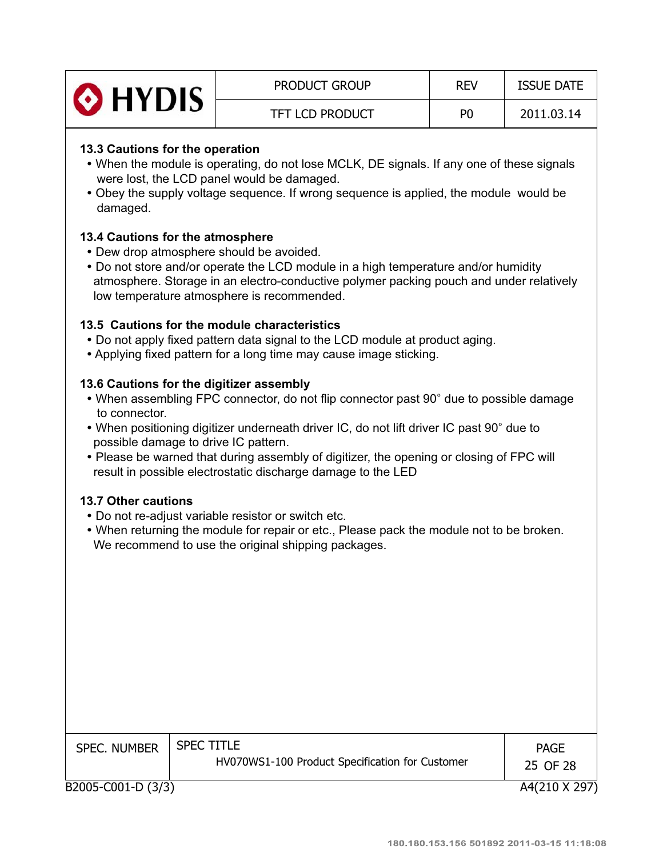| O HYDIS | <b>PRODUCT GROUP</b>   | <b>REV</b>     | <b>ISSUE DATE</b> |
|---------|------------------------|----------------|-------------------|
|         | <b>TFT LCD PRODUCT</b> | P <sub>0</sub> | 2011.03.14        |

### **13.3 Cautions for the operation**

- When the module is operating, do not lose MCLK, DE signals. If any one of these signals were lost, the LCD panel would be damaged.
- Obey the supply voltage sequence. If wrong sequence is applied, the module would be damaged.

### **13.4 Cautions for the atmosphere**

- Dew drop atmosphere should be avoided.
- Do not store and/or operate the LCD module in a high temperature and/or humidity atmosphere. Storage in an electro-conductive polymer packing pouch and under relatively low temperature atmosphere is recommended.

### **13.5 Cautions for the module characteristics**

- Do not apply fixed pattern data signal to the LCD module at product aging.
- Applying fixed pattern for a long time may cause image sticking.

### **13.6 Cautions for the digitizer assembly**

- When assembling FPC connector, do not flip connector past 90° due to possible damage to connector.
- When positioning digitizer underneath driver IC, do not lift driver IC past 90° due to possible damage to drive IC pattern.
- Please be warned that during assembly of digitizer, the opening or closing of FPC will result in possible electrostatic discharge damage to the LED

#### **13.7 Other cautions**

- Do not re-adjust variable resistor or switch etc.
- When returning the module for repair or etc., Please pack the module not to be broken. We recommend to use the original shipping packages.

| <b>SPEC. NUMBER</b> | <b>SPEC TITLE</b><br>HV070WS1-100 Product Specification for Customer | <b>PAGE</b><br>25 OF 28 |
|---------------------|----------------------------------------------------------------------|-------------------------|
| B2005-C001-D (3/3)  |                                                                      | A4(210 X 297)           |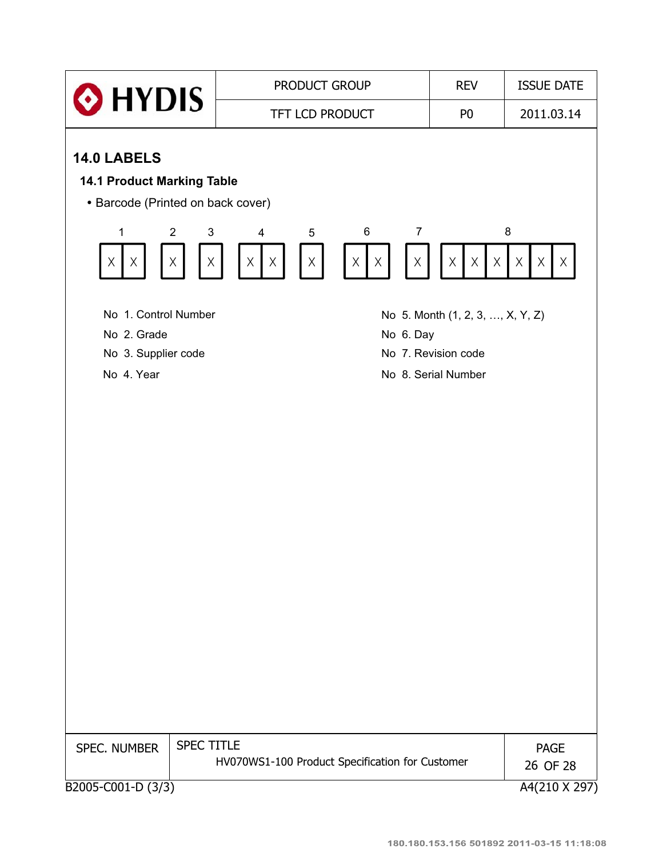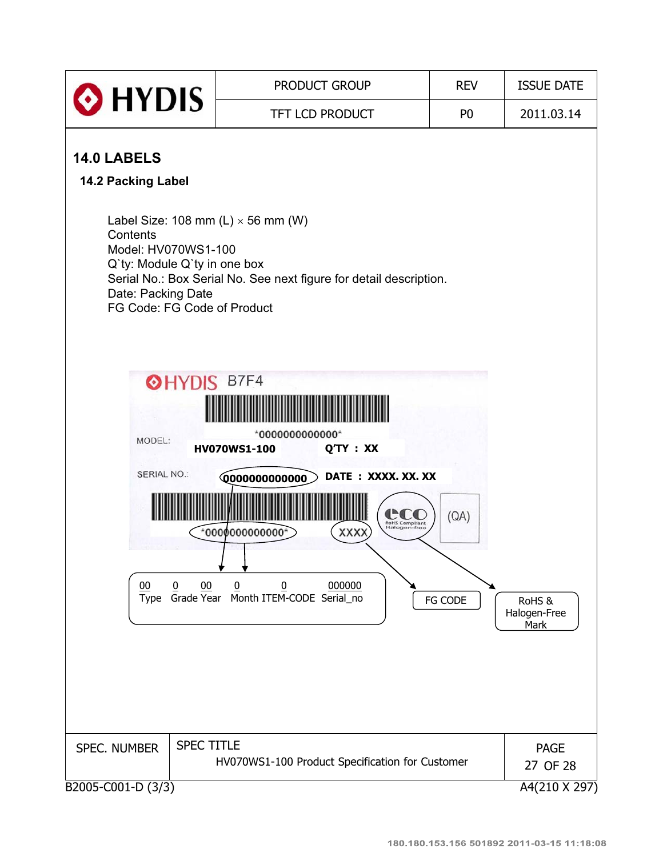